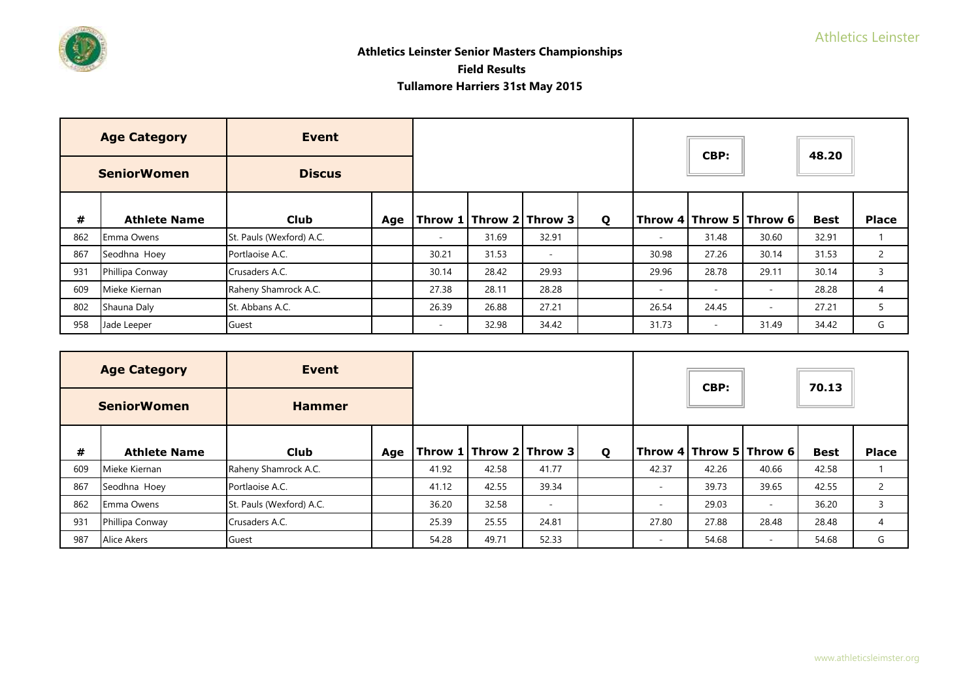

|     | <b>Age Category</b>                 | Event                    |     |                          |       |                          |   |       | CBP:   |                          | 48.20       |                |
|-----|-------------------------------------|--------------------------|-----|--------------------------|-------|--------------------------|---|-------|--------|--------------------------|-------------|----------------|
|     | <b>Discus</b><br><b>SeniorWomen</b> |                          |     |                          |       |                          |   |       |        |                          |             |                |
| #   | <b>Athlete Name</b>                 | <b>Club</b>              | Age |                          |       | Throw 1 Throw 2 Throw 3  | Q |       |        | Throw 4 Throw 5 Throw 6  | <b>Best</b> | <b>Place</b>   |
| 862 | Emma Owens                          | St. Pauls (Wexford) A.C. |     | $\overline{\phantom{a}}$ | 31.69 | 32.91                    |   |       | 31.48  | 30.60                    | 32.91       |                |
| 867 | Seodhna Hoey                        | Portlaoise A.C.          |     | 30.21                    | 31.53 | $\overline{\phantom{a}}$ |   | 30.98 | 27.26  | 30.14                    | 31.53       | $\overline{2}$ |
| 931 | Phillipa Conway                     | Crusaders A.C.           |     | 30.14                    | 28.42 | 29.93                    |   | 29.96 | 28.78  | 29.11                    | 30.14       | 3              |
| 609 | Mieke Kiernan                       | Raheny Shamrock A.C.     |     | 27.38                    | 28.11 | 28.28                    |   | ٠     | $\sim$ | $\sim$                   | 28.28       | 4              |
| 802 | Shauna Daly                         | St. Abbans A.C.          |     | 26.39                    | 26.88 | 27.21                    |   | 26.54 | 24.45  | $\overline{\phantom{a}}$ | 27.21       |                |
| 958 | Jade Leeper                         | Guest                    |     | $\sim$                   | 32.98 | 34.42                    |   | 31.73 | $\sim$ | 31.49                    | 34.42       | G              |

|     | <b>Age Category</b>                 | Event                    |     |       |       |                                         |   |       | CBP:  |                         | 70.13       |                |
|-----|-------------------------------------|--------------------------|-----|-------|-------|-----------------------------------------|---|-------|-------|-------------------------|-------------|----------------|
|     | <b>SeniorWomen</b><br><b>Hammer</b> |                          |     |       |       |                                         |   |       |       |                         |             |                |
| #   | <b>Athlete Name</b>                 | <b>Club</b>              | Age |       |       | $ $ Throw 1 $ $ Throw 2 $ $ Throw 3 $ $ | Q |       |       | Throw 4 Throw 5 Throw 6 | <b>Best</b> | <b>Place</b>   |
| 609 | Mieke Kiernan                       | Raheny Shamrock A.C.     |     | 41.92 | 42.58 | 41.77                                   |   | 42.37 | 42.26 | 40.66                   | 42.58       |                |
| 867 | Seodhna Hoey                        | Portlaoise A.C.          |     | 41.12 | 42.55 | 39.34                                   |   |       | 39.73 | 39.65                   | 42.55       | $\overline{2}$ |
| 862 | Emma Owens                          | St. Pauls (Wexford) A.C. |     | 36.20 | 32.58 | $\overline{\phantom{a}}$                |   |       | 29.03 | $\sim$                  | 36.20       | $\overline{3}$ |
| 931 | Phillipa Conway                     | Crusaders A.C.           |     | 25.39 | 25.55 | 24.81                                   |   | 27.80 | 27.88 | 28.48                   | 28.48       | 4              |
| 987 | Alice Akers                         | Guest                    |     | 54.28 | 49.71 | 52.33                                   |   |       | 54.68 | $\equiv$                | 54.68       | G              |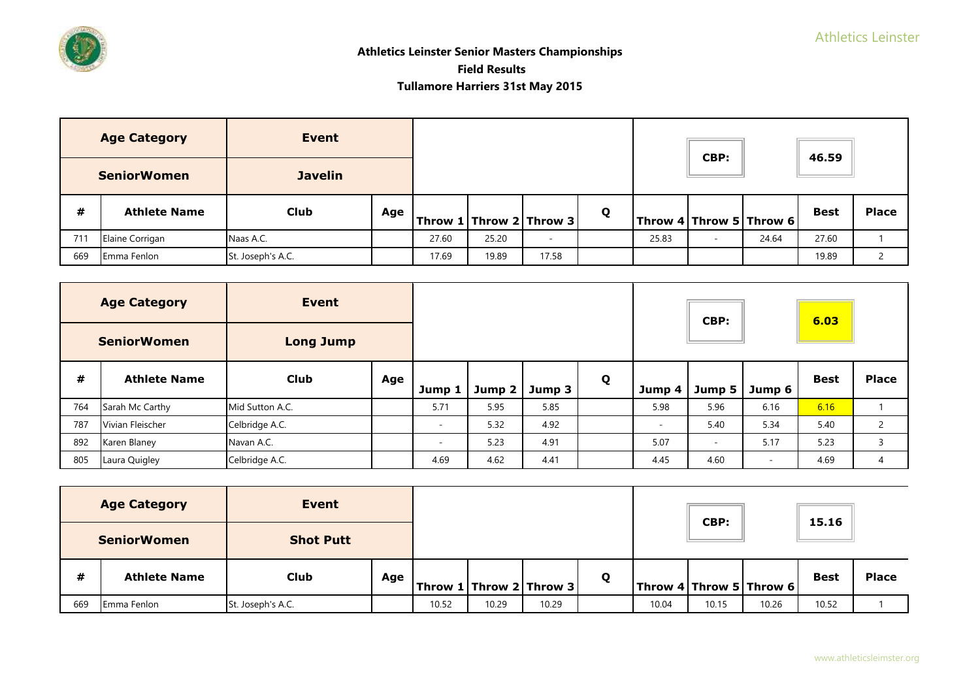

# **Athletics Leinster Senior Masters Championships Field Results Tullamore Harriers 31st May 2015**

|     | <b>Age Category</b> | Event             |     |       |       |                                 |   |       | CBP: |                         | 46.59       |              |
|-----|---------------------|-------------------|-----|-------|-------|---------------------------------|---|-------|------|-------------------------|-------------|--------------|
|     | <b>SeniorWomen</b>  | <b>Javelin</b>    |     |       |       |                                 |   |       |      |                         |             |              |
| #   | <b>Athlete Name</b> | <b>Club</b>       | Age |       |       | $ $ Throw 1   Throw 2   Throw 3 | Q |       |      | Throw 4 Throw 5 Throw 6 | <b>Best</b> | <b>Place</b> |
| 711 | Elaine Corrigan     | Naas A.C.         |     | 27.60 | 25.20 | $\sim$                          |   | 25.83 | ۰    | 24.64                   | 27.60       |              |
| 669 | Emma Fenlon         | St. Joseph's A.C. |     | 17.69 | 19.89 | 17.58                           |   |       |      |                         | 19.89       |              |

|     | <b>Age Category</b> | <b>Event</b>     |     |          |               |        |   |        | CBP:   |        | 6.03        |              |
|-----|---------------------|------------------|-----|----------|---------------|--------|---|--------|--------|--------|-------------|--------------|
|     | <b>SeniorWomen</b>  | <b>Long Jump</b> |     |          |               |        |   |        |        |        |             |              |
| #   | <b>Athlete Name</b> | <b>Club</b>      | Age | Jump 1   | Jump $2 \mid$ | Jump 3 | Q | Jump 4 | Jump 5 | Jump 6 | <b>Best</b> | <b>Place</b> |
| 764 | Sarah Mc Carthy     | Mid Sutton A.C.  |     | 5.71     | 5.95          | 5.85   |   | 5.98   | 5.96   | 6.16   | 6.16        |              |
| 787 | Vivian Fleischer    | Celbridge A.C.   |     | $\equiv$ | 5.32          | 4.92   |   |        | 5.40   | 5.34   | 5.40        | $\mathbf{2}$ |
| 892 | Karen Blaney        | Navan A.C.       |     | ۰        | 5.23          | 4.91   |   | 5.07   | $\sim$ | 5.17   | 5.23        | 3            |
| 805 | Laura Quigley       | Celbridge A.C.   |     | 4.69     | 4.62          | 4.41   |   | 4.45   | 4.60   | $\sim$ | 4.69        | 4            |

|     | <b>Age Category</b>                    | Event             |     |       |       |                             |   |       | CBP:  |                             | 15.16       |              |
|-----|----------------------------------------|-------------------|-----|-------|-------|-----------------------------|---|-------|-------|-----------------------------|-------------|--------------|
|     | <b>Shot Putt</b><br><b>SeniorWomen</b> |                   |     |       |       |                             |   |       |       |                             |             |              |
| #   | <b>Athlete Name</b>                    | <b>Club</b>       | Age |       |       | Throw 1   Throw 2   Throw 3 | Q |       |       | Throw 4   Throw 5   Throw 6 | <b>Best</b> | <b>Place</b> |
| 669 | Emma Fenlon                            | St. Joseph's A.C. |     | 10.52 | 10.29 | 10.29                       |   | 10.04 | 10.15 | 10.26                       | 10.52       |              |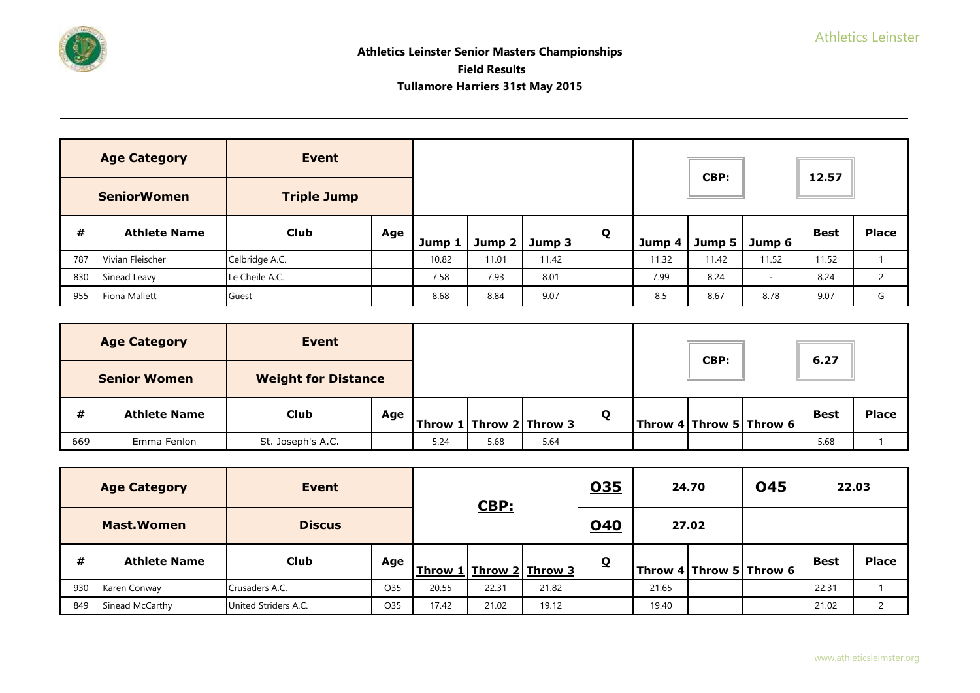

|     | <b>Age Category</b><br><b>SeniorWomen</b> | <b>Event</b><br><b>Triple Jump</b> |     |        |               |        |   |        | CBP:   |        | 12.57       |              |
|-----|-------------------------------------------|------------------------------------|-----|--------|---------------|--------|---|--------|--------|--------|-------------|--------------|
|     |                                           |                                    |     |        |               |        |   |        |        |        |             |              |
| #   | <b>Athlete Name</b>                       | <b>Club</b>                        | Age | Jump 1 | Jump $2 \mid$ | Jump 3 | Q | Jump 4 | Jump 5 | Jump 6 | <b>Best</b> | <b>Place</b> |
| 787 | Vivian Fleischer                          | Celbridge A.C.                     |     | 10.82  | 11.01         | 11.42  |   | 11.32  | 11.42  | 11.52  | 11.52       |              |
| 830 | Sinead Leavy                              | Le Cheile A.C.                     |     | 7.58   | 7.93          | 8.01   |   | 7.99   | 8.24   | $\sim$ | 8.24        |              |
| 955 | <b>Fiona Mallett</b>                      | Guest                              |     | 8.68   | 8.84          | 9.07   |   | 8.5    | 8.67   | 8.78   | 9.07        | G            |

|     | <b>Age Category</b>                               | Event             |     |      |      |                         |              | CBP: |                                                                             | 6.27        |              |
|-----|---------------------------------------------------|-------------------|-----|------|------|-------------------------|--------------|------|-----------------------------------------------------------------------------|-------------|--------------|
|     | <b>Weight for Distance</b><br><b>Senior Women</b> |                   |     |      |      |                         |              |      |                                                                             |             |              |
| #   | <b>Athlete Name</b>                               | <b>Club</b>       | Age |      |      | Throw 1 Throw 2 Throw 3 | $\mathbf{o}$ |      | $\textsf{I}$ Throw 4 $\textsf{I}$ Throw 5 $\textsf{I}$ Throw 6 $\textsf{I}$ | <b>Best</b> | <b>Place</b> |
| 669 | Emma Fenlon                                       | St. Joseph's A.C. |     | 5.24 | 5.68 | 5.64                    |              |      |                                                                             | 5.68        |              |

|     | <b>Age Category</b> | Event                |     |                                                  | CBP:  |       | <u>035</u> |       | 24.70                   | <b>045</b> | 22.03       |              |
|-----|---------------------|----------------------|-----|--------------------------------------------------|-------|-------|------------|-------|-------------------------|------------|-------------|--------------|
|     | <b>Mast.Women</b>   | <b>Discus</b>        |     |                                                  |       |       | <u>040</u> |       | 27.02                   |            |             |              |
| #   | <b>Athlete Name</b> | <b>Club</b>          | Age | <u>l   Throw 2   Throw 3  </u><br><b>Throw 1</b> |       |       | $\Omega$   |       | Throw 4 Throw 5 Throw 6 |            | <b>Best</b> | <b>Place</b> |
| 930 | Karen Conway        | Crusaders A.C.       | O35 | 20.55                                            | 22.31 | 21.82 |            | 21.65 |                         |            | 22.31       |              |
| 849 | Sinead McCarthy     | United Striders A.C. | O35 | 17.42                                            | 21.02 | 19.12 |            | 19.40 |                         |            | 21.02       |              |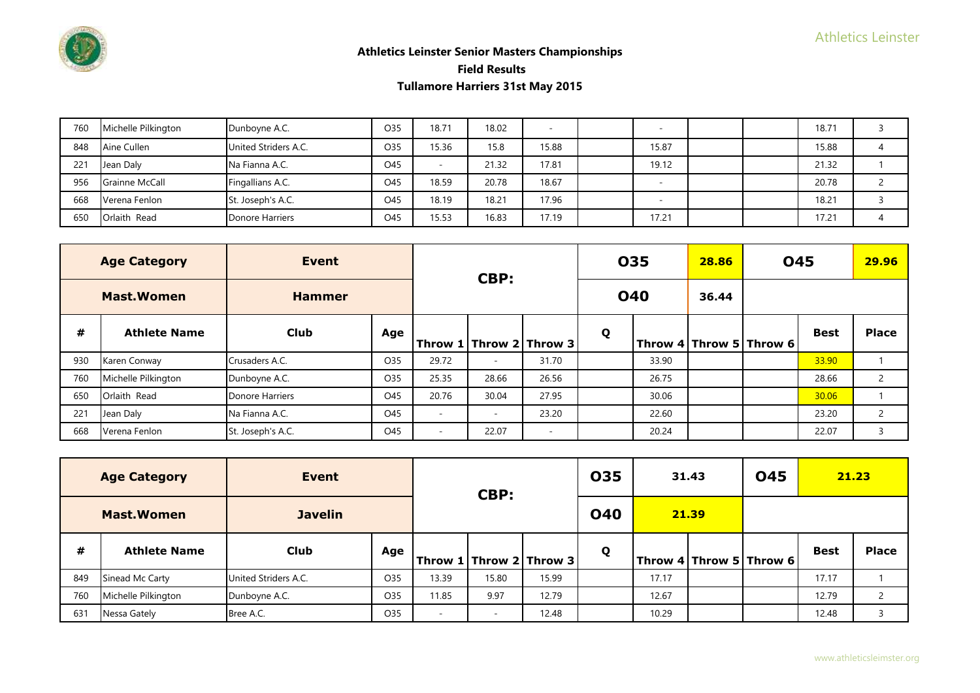

| 760 | Michelle Pilkington   | Dunboyne A.C.        | O35 | 18.71 | 18.02 |       |       |  | 18.71 |  |
|-----|-----------------------|----------------------|-----|-------|-------|-------|-------|--|-------|--|
| 848 | Aine Cullen           | United Striders A.C. | O35 | 15.36 | 15.8  | 15.88 | 15.87 |  | 15.88 |  |
| 221 | Jean Daly             | Na Fianna A.C.       | O45 |       | 21.32 | 17.81 | 19.12 |  | 21.32 |  |
| 956 | <b>Grainne McCall</b> | Fingallians A.C.     | O45 | 18.59 | 20.78 | 18.67 |       |  | 20.78 |  |
| 668 | Verena Fenlon         | St. Joseph's A.C.    | O45 | 18.19 | 18.21 | 17.96 |       |  | 18.21 |  |
| 650 | Orlaith Read          | Donore Harriers      | O45 | 15.53 | 16.83 | 17.19 | 17.21 |  | 17.21 |  |

|     | <b>Age Category</b> | Event             |     |                             | CBP:                     |                          |   | 035        | 28.86 | <b>045</b>                  |             | 29.96          |
|-----|---------------------|-------------------|-----|-----------------------------|--------------------------|--------------------------|---|------------|-------|-----------------------------|-------------|----------------|
|     | <b>Mast.Women</b>   | <b>Hammer</b>     |     |                             |                          |                          |   | <b>040</b> | 36.44 |                             |             |                |
| #   | <b>Athlete Name</b> | <b>Club</b>       | Age | Throw 1   Throw 2   Throw 3 |                          |                          | Q |            |       | Throw 4   Throw 5   Throw 6 | <b>Best</b> | <b>Place</b>   |
| 930 | Karen Conway        | Crusaders A.C.    | O35 | 29.72                       | $\overline{\phantom{a}}$ | 31.70                    |   | 33.90      |       |                             | 33.90       |                |
| 760 | Michelle Pilkington | Dunboyne A.C.     | O35 | 25.35                       | 28.66                    | 26.56                    |   | 26.75      |       |                             | 28.66       | $\overline{2}$ |
| 650 | Orlaith Read        | Donore Harriers   | O45 | 20.76                       | 30.04                    | 27.95                    |   | 30.06      |       |                             | 30.06       |                |
| 221 | Jean Daly           | Na Fianna A.C.    | O45 | $\sim$                      | $\overline{\phantom{a}}$ | 23.20                    |   | 22.60      |       |                             | 23.20       | $\overline{2}$ |
| 668 | Verena Fenlon       | St. Joseph's A.C. | O45 | <b>м.</b>                   | 22.07                    | $\overline{\phantom{a}}$ |   | 20.24      |       |                             | 22.07       | 3              |

|     | <b>Age Category</b> | Event                |     |                             | CBP:                     |       | <b>035</b> |       | 31.43 | <b>045</b>                | 21.23       |                |
|-----|---------------------|----------------------|-----|-----------------------------|--------------------------|-------|------------|-------|-------|---------------------------|-------------|----------------|
|     | <b>Mast.Women</b>   | <b>Javelin</b>       |     |                             |                          |       | <b>040</b> |       | 21.39 |                           |             |                |
| #   | <b>Athlete Name</b> | <b>Club</b>          | Age | Throw 1   Throw 2   Throw 3 |                          |       | Q          |       |       | Throw $4$ Throw 5 Throw 6 | <b>Best</b> | <b>Place</b>   |
| 849 | Sinead Mc Carty     | United Striders A.C. | O35 | 13.39                       | 15.80                    | 15.99 |            | 17.17 |       |                           | 17.17       |                |
| 760 | Michelle Pilkington | Dunboyne A.C.        | O35 | 11.85                       | 9.97                     | 12.79 |            | 12.67 |       |                           | 12.79       | $\overline{2}$ |
| 631 | Nessa Gately        | Bree A.C.            | O35 |                             | $\overline{\phantom{a}}$ | 12.48 |            | 10.29 |       |                           | 12.48       | 3              |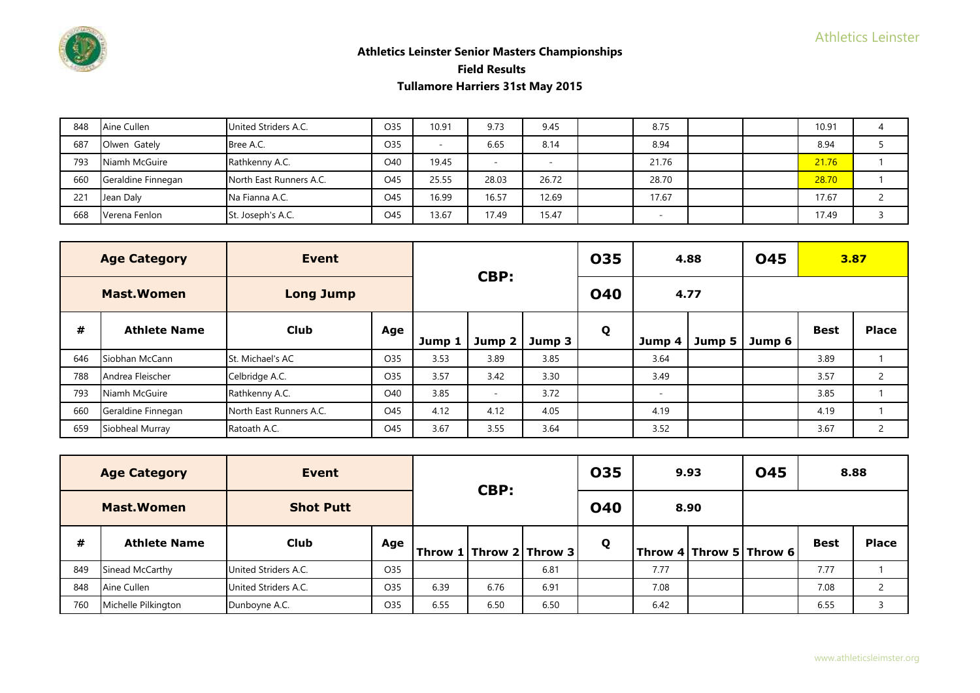

| 848 | Aine Cullen        | United Striders A.C.    | O35 | 10.91 | 9.73                     | 9.45  | 8.75  |  | 10.91 |  |
|-----|--------------------|-------------------------|-----|-------|--------------------------|-------|-------|--|-------|--|
| 687 | Olwen Gately       | Bree A.C.               | O35 |       | 6.65                     | 8.14  | 8.94  |  | 8.94  |  |
| 793 | Niamh McGuire      | Rathkenny A.C.          | O40 | 19.45 | $\overline{\phantom{a}}$ |       | 21.76 |  | 21.76 |  |
| 660 | Geraldine Finnegan | North East Runners A.C. | O45 | 25.55 | 28.03                    | 26.72 | 28.70 |  | 28.70 |  |
| 221 | Jean Daly          | Na Fianna A.C.          | O45 | 16.99 | 16.57                    | 12.69 | 17.67 |  | 17.67 |  |
| 668 | Verena Fenlon      | St. Joseph's A.C.       | O45 | 13.67 | 17.49                    | 15.47 |       |  | 17.49 |  |

|     | <b>Age Category</b> | Event                   |     |        | CBP:              |        | 035        |                          | 4.88   | <b>045</b> |             | 3.87           |
|-----|---------------------|-------------------------|-----|--------|-------------------|--------|------------|--------------------------|--------|------------|-------------|----------------|
|     | <b>Mast.Women</b>   | <b>Long Jump</b>        |     |        |                   |        | <b>040</b> |                          | 4.77   |            |             |                |
| #   | <b>Athlete Name</b> | <b>Club</b>             | Age | Jump 1 | Jump <sub>2</sub> | Jump 3 | Q          | Jump 4                   | Jump 5 | Jump 6     | <b>Best</b> | <b>Place</b>   |
| 646 | Siobhan McCann      | St. Michael's AC        | O35 | 3.53   | 3.89              | 3.85   |            | 3.64                     |        |            | 3.89        |                |
| 788 | Andrea Fleischer    | Celbridge A.C.          | O35 | 3.57   | 3.42              | 3.30   |            | 3.49                     |        |            | 3.57        | $\overline{2}$ |
| 793 | Niamh McGuire       | Rathkenny A.C.          | O40 | 3.85   | $\sim$            | 3.72   |            | $\overline{\phantom{0}}$ |        |            | 3.85        |                |
| 660 | Geraldine Finnegan  | North East Runners A.C. | O45 | 4.12   | 4.12              | 4.05   |            | 4.19                     |        |            | 4.19        |                |
| 659 | Siobheal Murray     | Ratoath A.C.            | O45 | 3.67   | 3.55              | 3.64   |            | 3.52                     |        |            | 3.67        | $\overline{2}$ |

|     | <b>Age Category</b> | Event                |     |      | CBP:                        |      | 035        |      | 9.93 | <b>045</b>              | 8.88        |              |
|-----|---------------------|----------------------|-----|------|-----------------------------|------|------------|------|------|-------------------------|-------------|--------------|
|     | <b>Mast.Women</b>   | <b>Shot Putt</b>     |     |      |                             |      | <b>040</b> |      | 8.90 |                         |             |              |
| #   | <b>Athlete Name</b> | <b>Club</b>          | Age |      | Throw 1   Throw 2   Throw 3 |      | Q          |      |      | Throw 4 Throw 5 Throw 6 | <b>Best</b> | <b>Place</b> |
| 849 | Sinead McCarthy     | United Striders A.C. | O35 |      |                             | 6.81 |            | 7.77 |      |                         | 7.77        |              |
| 848 | Aine Cullen         | United Striders A.C. | O35 | 6.39 | 6.76                        | 6.91 |            | 7.08 |      |                         | 7.08        |              |
| 760 | Michelle Pilkington | Dunboyne A.C.        | O35 | 6.55 | 6.50                        | 6.50 |            | 6.42 |      |                         | 6.55        |              |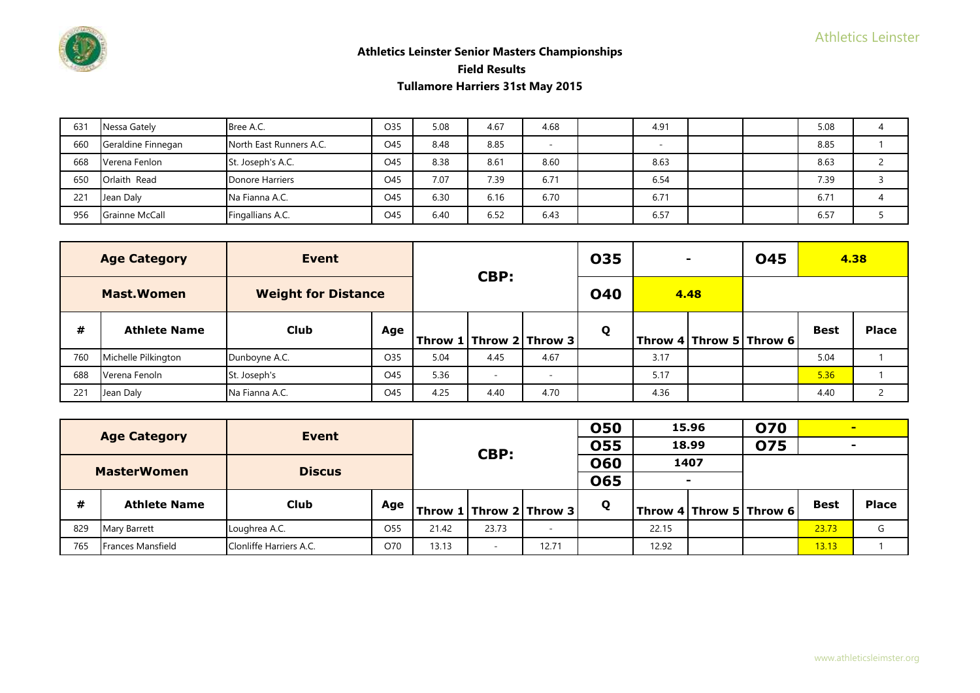

| 631 | Nessa Gately          | Bree A.C.               | O35 | 5.08 | 4.67 | 4.68 | 4.91 |  | 5.08 |  |
|-----|-----------------------|-------------------------|-----|------|------|------|------|--|------|--|
| 660 | Geraldine Finnegan    | North East Runners A.C. | O45 | 8.48 | 8.85 |      |      |  | 8.85 |  |
| 668 | Verena Fenlon         | St. Joseph's A.C.       | O45 | 8.38 | 8.61 | 8.60 | 8.63 |  | 8.63 |  |
| 650 | Orlaith Read          | Donore Harriers         | O45 | 7.07 | 7.39 | 6.71 | 6.54 |  | 7.39 |  |
| 221 | Jean Daly             | Na Fianna A.C.          | O45 | 6.30 | 6.16 | 6.70 | 6.71 |  | 6.71 |  |
| 956 | <b>Grainne McCall</b> | Fingallians A.C.        | O45 | 6.40 | 6.52 | 6.43 | 6.57 |  | 6.57 |  |

|     | <b>Age Category</b> | Event                      |     |      | CBP:                        |      | 035        |      |                         | <b>045</b> | 4.38        |              |
|-----|---------------------|----------------------------|-----|------|-----------------------------|------|------------|------|-------------------------|------------|-------------|--------------|
|     | <b>Mast Women</b>   | <b>Weight for Distance</b> |     |      |                             |      | <b>040</b> |      | 4.48                    |            |             |              |
| #   | <b>Athlete Name</b> | <b>Club</b>                | Age |      | Throw 1   Throw 2   Throw 3 |      | Q          |      | Throw 4 Throw 5 Throw 6 |            | <b>Best</b> | <b>Place</b> |
| 760 | Michelle Pilkington | Dunboyne A.C.              | O35 | 5.04 | 4.45                        | 4.67 |            | 3.17 |                         |            | 5.04        |              |
| 688 | Verena Fenoln       | St. Joseph's               | O45 | 5.36 | $\overline{\phantom{a}}$    |      |            | 5.17 |                         |            | 5.36        |              |
| 221 | Jean Daly           | Na Fianna A.C.             | O45 | 4.25 | 4.40                        | 4.70 |            | 4.36 |                         |            | 4.40        |              |

|     | <b>Age Category</b> | Event                   |                 |       |                          |       | <b>050</b> |       | 15.96          | <b>O70</b>              |             | $\sim$       |
|-----|---------------------|-------------------------|-----------------|-------|--------------------------|-------|------------|-------|----------------|-------------------------|-------------|--------------|
|     |                     |                         |                 |       | CBP:                     |       | <b>055</b> |       | 18.99          | <b>075</b>              |             |              |
|     | <b>MasterWomen</b>  | <b>Discus</b>           |                 |       |                          |       | <b>060</b> |       | 1407           |                         |             |              |
|     |                     |                         |                 |       |                          |       | 065        |       | $\blacksquare$ |                         |             |              |
| #   | <b>Athlete Name</b> | <b>Club</b>             | Age             |       | Throw 1 Throw 2 Throw 3  |       | Q          |       |                | Throw 4 Throw 5 Throw 6 | <b>Best</b> | <b>Place</b> |
| 829 | Mary Barrett        | Loughrea A.C.           | O <sub>55</sub> | 21.42 | 23.73                    |       |            | 22.15 |                |                         | 23.73       | G            |
| 765 | Frances Mansfield   | Clonliffe Harriers A.C. | O70             | 13.13 | $\overline{\phantom{a}}$ | 12.71 |            | 12.92 |                |                         | 13.13       |              |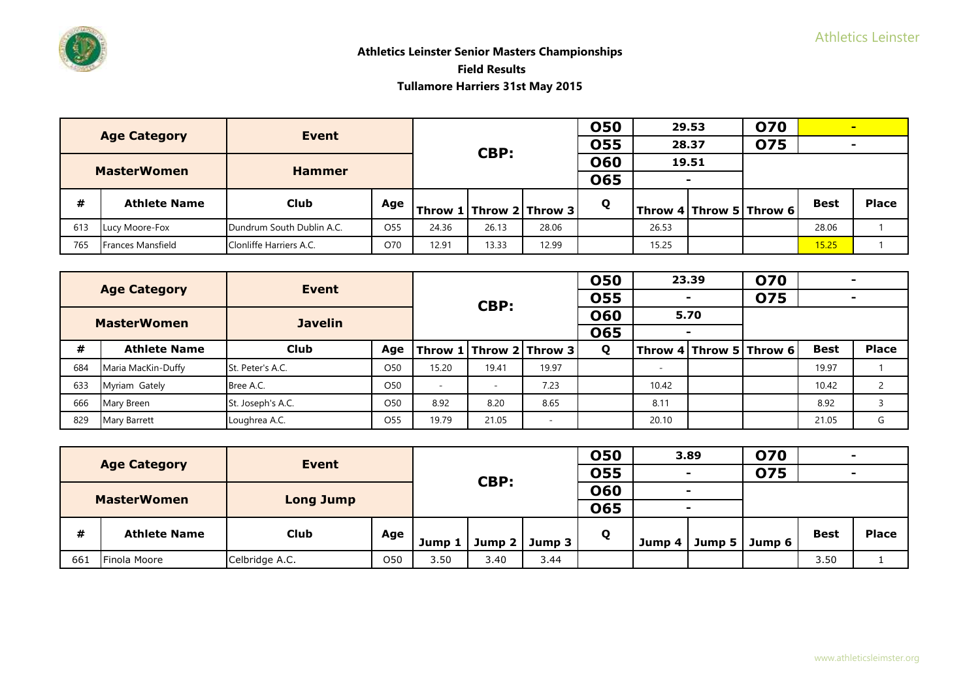|     | <b>Age Category</b> | Event                     |                 |       |       |                                         | 050        |       | 29.53 | <b>070</b>              |             | -            |
|-----|---------------------|---------------------------|-----------------|-------|-------|-----------------------------------------|------------|-------|-------|-------------------------|-------------|--------------|
|     |                     |                           |                 |       | CBP:  |                                         | <b>055</b> |       | 28.37 | <b>075</b>              |             |              |
|     | <b>MasterWomen</b>  | <b>Hammer</b>             |                 |       |       |                                         | 060        |       | 19.51 |                         |             |              |
|     |                     |                           |                 |       |       |                                         | <b>065</b> |       |       |                         |             |              |
| #   | <b>Athlete Name</b> | Club                      | Age             |       |       | $ $ Throw 1 $ $ Throw 2 $ $ Throw 3 $ $ | Q          |       |       | Throw 4 Throw 5 Throw 6 | <b>Best</b> | <b>Place</b> |
| 613 | Lucy Moore-Fox      | Dundrum South Dublin A.C. | O <sub>55</sub> | 24.36 | 26.13 | 28.06                                   |            | 26.53 |       |                         | 28.06       |              |
| 765 | Frances Mansfield   | Clonliffe Harriers A.C.   | O70             | 12.91 | 13.33 | 12.99                                   |            | 15.25 |       |                         | 15.25       |              |

|     | <b>Age Category</b> | Event             |                 |        |       |                         | <b>050</b> |       | 23.39 | <b>O70</b>                  |             |              |
|-----|---------------------|-------------------|-----------------|--------|-------|-------------------------|------------|-------|-------|-----------------------------|-------------|--------------|
|     |                     |                   |                 |        | CBP:  |                         | <b>055</b> |       |       | 075                         |             |              |
|     | <b>MasterWomen</b>  | <b>Javelin</b>    |                 |        |       |                         | 060        |       | 5.70  |                             |             |              |
|     |                     |                   |                 |        |       |                         | <b>065</b> |       |       |                             |             |              |
| #   | <b>Athlete Name</b> | <b>Club</b>       | Age             |        |       | Throw 1 Throw 2 Throw 3 | Q          |       |       | Throw 4   Throw 5   Throw 6 | <b>Best</b> | <b>Place</b> |
| 684 | Maria MacKin-Duffy  | St. Peter's A.C.  | O <sub>50</sub> | 15.20  | 19.41 | 19.97                   |            |       |       |                             | 19.97       |              |
| 633 | Myriam Gately       | Bree A.C.         | O <sub>50</sub> | $\sim$ |       | 7.23                    |            | 10.42 |       |                             | 10.42       |              |
| 666 | Mary Breen          | St. Joseph's A.C. | O <sub>50</sub> | 8.92   | 8.20  | 8.65                    |            | 8.11  |       |                             | 8.92        |              |
| 829 | Mary Barrett        | Loughrea A.C.     | O <sub>55</sub> | 19.79  | 21.05 |                         |            | 20.10 |       |                             | 21.05       | G            |

|     | <b>Age Category</b> | <b>Event</b>     |     |        |        |        | <b>050</b> |        | 3.89                     | 070        |             |              |
|-----|---------------------|------------------|-----|--------|--------|--------|------------|--------|--------------------------|------------|-------------|--------------|
|     |                     |                  |     |        | CBP:   |        | <b>055</b> |        |                          | <b>075</b> |             |              |
|     | <b>MasterWomen</b>  |                  |     |        |        |        | <b>060</b> |        | $\overline{\phantom{0}}$ |            |             |              |
|     |                     | <b>Long Jump</b> |     |        |        |        | 065        |        |                          |            |             |              |
| #   | <b>Athlete Name</b> | <b>Club</b>      | Age | Jump 1 | Jump 2 | Jump 3 | Q          | Jump 4 | Jump $5$                 | Jump 6     | <b>Best</b> | <b>Place</b> |
|     |                     |                  |     |        |        |        |            |        |                          |            |             |              |
| 661 | Finola Moore        | Celbridge A.C.   | 050 | 3.50   | 3.40   | 3.44   |            |        |                          |            | 3.50        |              |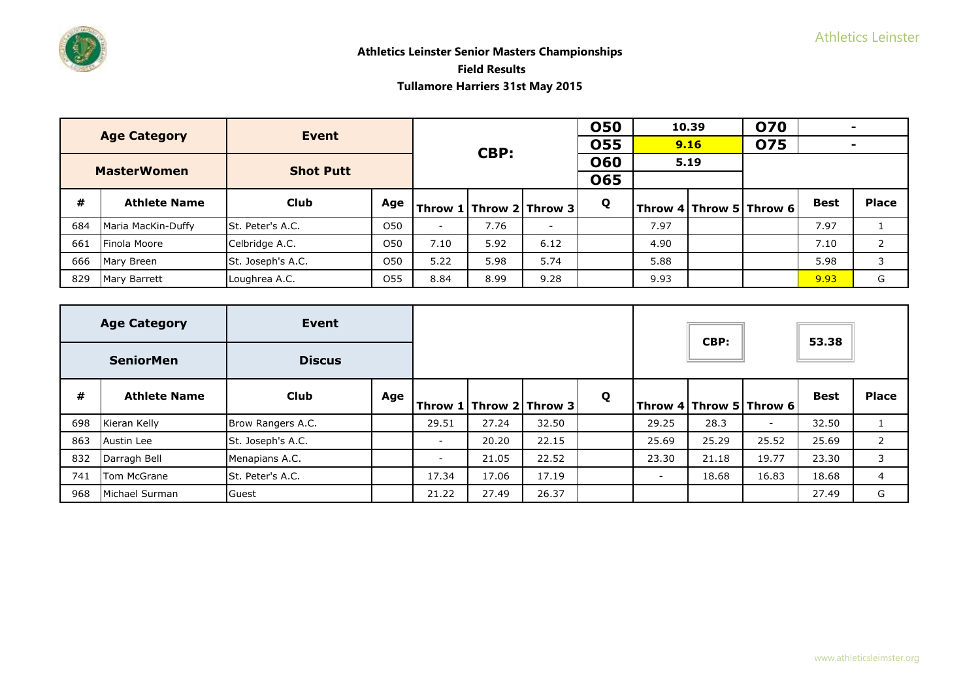|     | <b>Age Category</b> | Event             |                 |                          |      |                             | <b>050</b> |      | 10.39 | <b>070</b>              |             |              |
|-----|---------------------|-------------------|-----------------|--------------------------|------|-----------------------------|------------|------|-------|-------------------------|-------------|--------------|
|     |                     |                   |                 |                          | CBP: |                             | 055        |      | 9.16  | 075                     |             |              |
|     | <b>MasterWomen</b>  | <b>Shot Putt</b>  |                 |                          |      |                             | <b>060</b> |      | 5.19  |                         |             |              |
|     |                     |                   |                 |                          |      |                             | <b>065</b> |      |       |                         |             |              |
| #   | <b>Athlete Name</b> | <b>Club</b>       | Age             |                          |      | Throw 1   Throw 2   Throw 3 | Q          |      |       | Throw 4 Throw 5 Throw 6 | <b>Best</b> | <b>Place</b> |
| 684 | Maria MacKin-Duffy  | St. Peter's A.C.  | O50             | $\overline{\phantom{a}}$ | 7.76 | -                           |            | 7.97 |       |                         | 7.97        |              |
| 661 | Finola Moore        | Celbridge A.C.    | O <sub>50</sub> | 7.10                     | 5.92 | 6.12                        |            | 4.90 |       |                         | 7.10        | 2            |
| 666 | Mary Breen          | St. Joseph's A.C. | O50             | 5.22                     | 5.98 | 5.74                        |            | 5.88 |       |                         | 5.98        | 3            |
| 829 | Mary Barrett        | Loughrea A.C.     | O <sub>55</sub> | 8.84                     | 8.99 | 9.28                        |            | 9.93 |       |                         | 9.93        | G            |

|     | <b>Age Category</b> | Event             |     |                          |                             |       |   |        | CBP:  |                          | 53.38       |                |
|-----|---------------------|-------------------|-----|--------------------------|-----------------------------|-------|---|--------|-------|--------------------------|-------------|----------------|
|     | <b>SeniorMen</b>    | <b>Discus</b>     |     |                          |                             |       |   |        |       |                          |             |                |
| #   | <b>Athlete Name</b> | <b>Club</b>       | Age |                          | Throw 1   Throw 2   Throw 3 |       | Q |        |       | Throw 4 Throw 5 Throw 6  | <b>Best</b> | <b>Place</b>   |
| 698 | Kieran Kelly        | Brow Rangers A.C. |     | 29.51                    | 27.24                       | 32.50 |   | 29.25  | 28.3  | $\overline{\phantom{a}}$ | 32.50       |                |
| 863 | Austin Lee          | St. Joseph's A.C. |     | $\sim$                   | 20.20                       | 22.15 |   | 25.69  | 25.29 | 25.52                    | 25.69       | $\overline{2}$ |
| 832 | Darragh Bell        | Menapians A.C.    |     | $\overline{\phantom{a}}$ | 21.05                       | 22.52 |   | 23.30  | 21.18 | 19.77                    | 23.30       | 3              |
| 741 | Tom McGrane         | St. Peter's A.C.  |     | 17.34                    | 17.06                       | 17.19 |   | $\sim$ | 18.68 | 16.83                    | 18.68       | $\overline{4}$ |
| 968 | Michael Surman      | Guest             |     | 21.22                    | 27.49                       | 26.37 |   |        |       |                          | 27.49       | G              |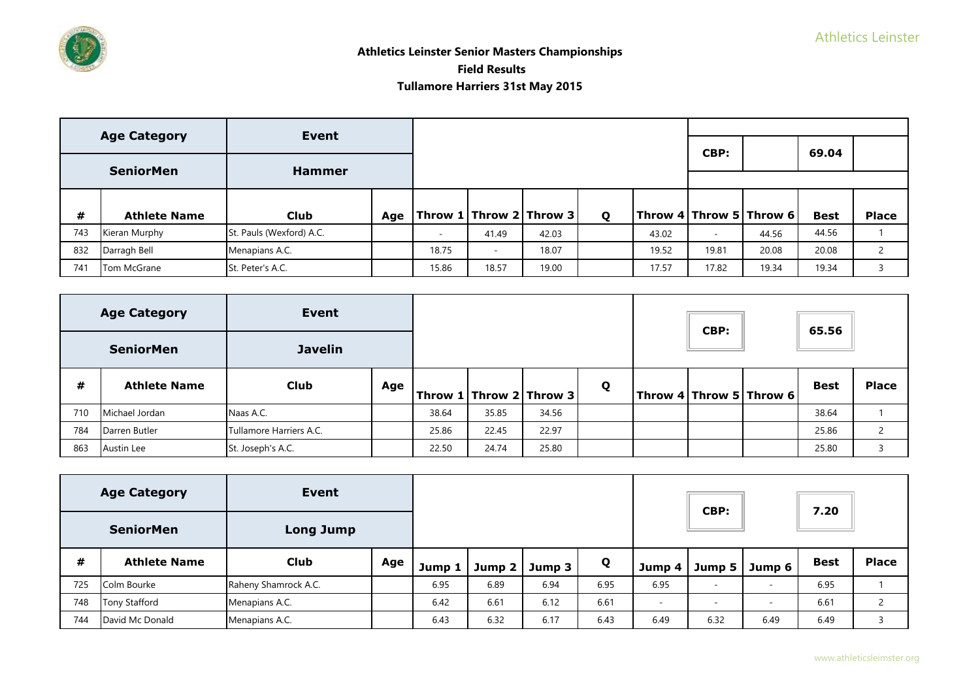

# **Athletics Leinster Senior Masters Championships Field Results Tullamore Harriers 31st May 2015**

|     | <b>Age Category</b> | Event                    |                                   |                          |       |   |       |                          |                         |             |              |
|-----|---------------------|--------------------------|-----------------------------------|--------------------------|-------|---|-------|--------------------------|-------------------------|-------------|--------------|
|     |                     |                          |                                   |                          |       |   |       | CBP:                     |                         | 69.04       |              |
|     | <b>SeniorMen</b>    | <b>Hammer</b>            |                                   |                          |       |   |       |                          |                         |             |              |
|     |                     |                          |                                   |                          |       |   |       |                          |                         |             |              |
|     |                     |                          |                                   |                          |       |   |       |                          |                         |             |              |
| #   | <b>Athlete Name</b> | <b>Club</b>              | Age   Throw 1   Throw 2   Throw 3 |                          |       | Q |       |                          | Throw 4 Throw 5 Throw 6 | <b>Best</b> | <b>Place</b> |
| 743 | Kieran Murphy       | St. Pauls (Wexford) A.C. |                                   | 41.49                    | 42.03 |   | 43.02 | $\overline{\phantom{a}}$ | 44.56                   | 44.56       |              |
| 832 | Darragh Bell        | Menapians A.C.           | 18.75                             | $\overline{\phantom{a}}$ | 18.07 |   | 19.52 | 19.81                    | 20.08                   | 20.08       |              |
| 741 | Tom McGrane         | St. Peter's A.C.         | 15.86                             | 18.57                    | 19.00 |   | 17.57 | 17.82                    | 19.34                   | 19.34       |              |

|     | <b>Age Category</b> | Event                   |     |       |       |                           |   | CBP: |                         | 65.56       |              |
|-----|---------------------|-------------------------|-----|-------|-------|---------------------------|---|------|-------------------------|-------------|--------------|
|     | <b>SeniorMen</b>    | <b>Javelin</b>          |     |       |       |                           |   |      |                         |             |              |
| #   | <b>Athlete Name</b> | <b>Club</b>             | Age |       |       | Throw $1$ Throw 2 Throw 3 | Q |      | Throw 4 Throw 5 Throw 6 | <b>Best</b> | <b>Place</b> |
| 710 | Michael Jordan      | Naas A.C.               |     | 38.64 | 35.85 | 34.56                     |   |      |                         | 38.64       |              |
| 784 | Darren Butler       | Tullamore Harriers A.C. |     | 25.86 | 22.45 | 22.97                     |   |      |                         | 25.86       | $\mathbf{2}$ |
| 863 | Austin Lee          | St. Joseph's A.C.       |     | 22.50 | 24.74 | 25.80                     |   |      |                         | 25.80       |              |

|     | <b>Age Category</b>  | Event                |     |        |        |        |      |        | CBP:                     |        | 7.20        |              |
|-----|----------------------|----------------------|-----|--------|--------|--------|------|--------|--------------------------|--------|-------------|--------------|
|     | <b>SeniorMen</b>     | <b>Long Jump</b>     |     |        |        |        |      |        |                          |        |             |              |
| #   | <b>Athlete Name</b>  | <b>Club</b>          | Age | Jump 1 | Jump 2 | Jump 3 | Q    | Jump 4 | Jump 5 $\vert$           | Jump 6 | <b>Best</b> | <b>Place</b> |
| 725 | Colm Bourke          | Raheny Shamrock A.C. |     | 6.95   | 6.89   | 6.94   | 6.95 | 6.95   | $\sim$                   |        | 6.95        |              |
| 748 | <b>Tony Stafford</b> | Menapians A.C.       |     | 6.42   | 6.61   | 6.12   | 6.61 | -      | $\overline{\phantom{a}}$ |        | 6.61        |              |
| 744 | David Mc Donald      | Menapians A.C.       |     | 6.43   | 6.32   | 6.17   | 6.43 | 6.49   | 6.32                     | 6.49   | 6.49        |              |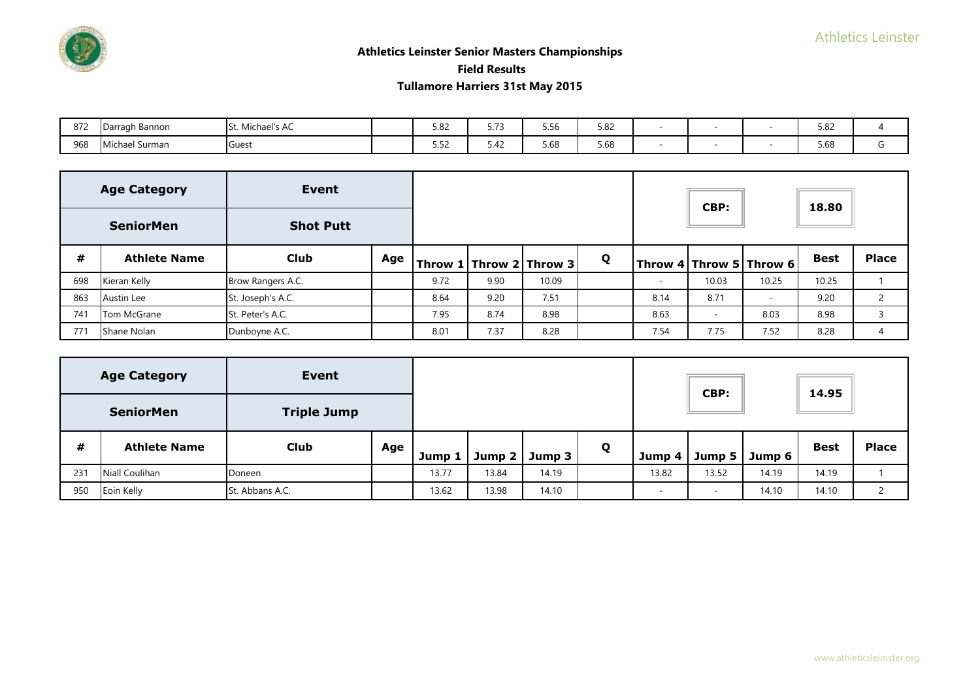# **Athletics Leinster Senior Masters Championships**

 **Field Results** 

| 872 | $\Gamma$<br>rragh Bannon<br>໋ | Michael's Au | 5.82                                           | - - -<br>. | $  \prime$<br>סכ.כ | 5.82 |  | 5.82<br>$  -$ |  |
|-----|-------------------------------|--------------|------------------------------------------------|------------|--------------------|------|--|---------------|--|
| 968 | <b>Mi</b><br>Surman           | Guest        | $- - -$<br>$\overline{\phantom{a}}$<br><u></u> | 5.42       | $-$ co.<br>5.68    | 5.68 |  | 5.68          |  |

|     | <b>Age Category</b> | Event             |     |      |      |                                 |   |      | CBP:                     |                                         | 18.80       |                       |
|-----|---------------------|-------------------|-----|------|------|---------------------------------|---|------|--------------------------|-----------------------------------------|-------------|-----------------------|
|     | <b>SeniorMen</b>    | <b>Shot Putt</b>  |     |      |      |                                 |   |      |                          |                                         |             |                       |
| #   | <b>Athlete Name</b> | <b>Club</b>       | Age |      |      | $ $ Throw 1   Throw 2   Throw 3 | Q |      |                          | $ $ Throw 4 $ $ Throw 5 $ $ Throw 6 $ $ | <b>Best</b> | <b>Place</b>          |
| 698 | Kieran Kelly        | Brow Rangers A.C. |     | 9.72 | 9.90 | 10.09                           |   |      | 10.03                    | 10.25                                   | 10.25       |                       |
| 863 | Austin Lee          | St. Joseph's A.C. |     | 8.64 | 9.20 | 7.51                            |   | 8.14 | 8.71                     | $\overline{\phantom{a}}$                | 9.20        | $\mathbf{2}^{\prime}$ |
| 741 | Tom McGrane         | St. Peter's A.C.  |     | 7.95 | 8.74 | 8.98                            |   | 8.63 | $\overline{\phantom{a}}$ | 8.03                                    | 8.98        | 3                     |
| 771 | Shane Nolan         | Dunboyne A.C.     |     | 8.01 | 7.37 | 8.28                            |   | 7.54 | 7.75                     | 7.52                                    | 8.28        | 4                     |

|     | <b>Age Category</b> | Event              |     |        |        |        |   |        | CBP:                     |        | 14.95       |              |
|-----|---------------------|--------------------|-----|--------|--------|--------|---|--------|--------------------------|--------|-------------|--------------|
|     | <b>SeniorMen</b>    | <b>Triple Jump</b> |     |        |        |        |   |        |                          |        |             |              |
| #   | <b>Athlete Name</b> | <b>Club</b>        | Age | Jump 1 | Jump 2 | Jump 3 | Q | Jump 4 | Jump 5                   | Jump 6 | <b>Best</b> | <b>Place</b> |
| 231 | Niall Coulihan      | Doneen             |     | 13.77  | 13.84  | 14.19  |   | 13.82  | 13.52                    | 14.19  | 14.19       |              |
| 950 | Eoin Kelly          | St. Abbans A.C.    |     | 13.62  | 13.98  | 14.10  |   |        | $\overline{\phantom{a}}$ | 14.10  | 14.10       | $\bigcap$    |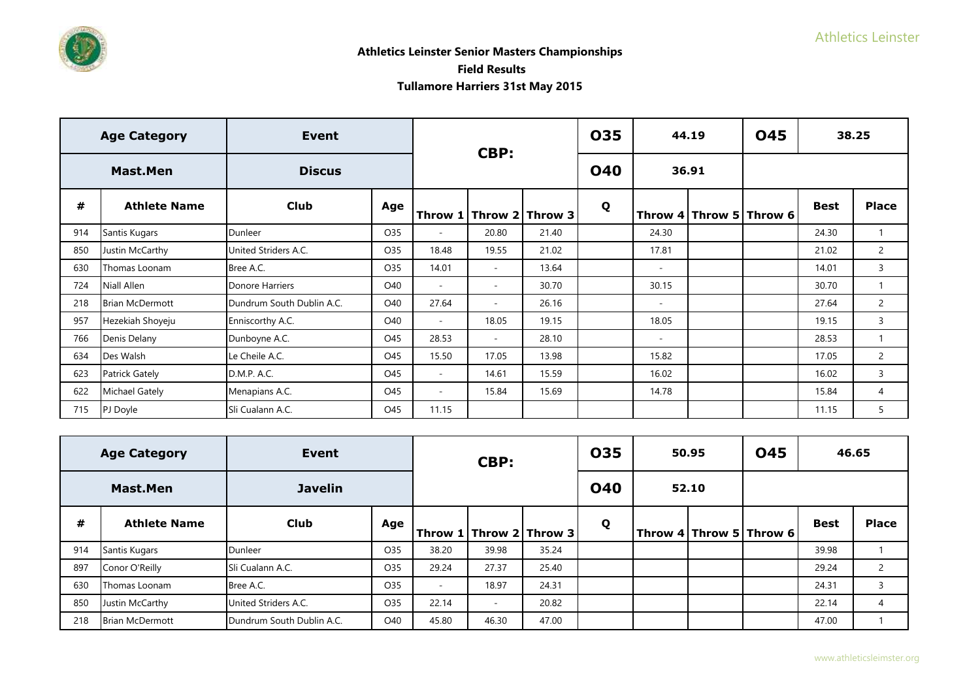# **Athletics Leinster Senior Masters Championships**

 **Field Results** 

|     | <b>Age Category</b>    | <b>Event</b>              |     |        | CBP:                     |                             | 035        |        | 44.19 | <b>045</b>              |             | 38.25          |
|-----|------------------------|---------------------------|-----|--------|--------------------------|-----------------------------|------------|--------|-------|-------------------------|-------------|----------------|
|     | Mast.Men               | <b>Discus</b>             |     |        |                          |                             | <b>040</b> |        | 36.91 |                         |             |                |
| #   | <b>Athlete Name</b>    | <b>Club</b>               | Age |        |                          | Throw 1   Throw 2   Throw 3 | Q          |        |       | Throw 4 Throw 5 Throw 6 | <b>Best</b> | <b>Place</b>   |
| 914 | Santis Kugars          | Dunleer                   | O35 | $\sim$ | 20.80                    | 21.40                       |            | 24.30  |       |                         | 24.30       |                |
| 850 | Justin McCarthy        | United Striders A.C.      | O35 | 18.48  | 19.55                    | 21.02                       |            | 17.81  |       |                         | 21.02       | $\mathbf{2}$   |
| 630 | Thomas Loonam          | Bree A.C.                 | O35 | 14.01  | $\sim$                   | 13.64                       |            | $\sim$ |       |                         | 14.01       | 3              |
| 724 | Niall Allen            | Donore Harriers           | O40 | $\sim$ | $\overline{\phantom{a}}$ | 30.70                       |            | 30.15  |       |                         | 30.70       |                |
| 218 | <b>Brian McDermott</b> | Dundrum South Dublin A.C. | O40 | 27.64  | $\overline{\phantom{a}}$ | 26.16                       |            | $\sim$ |       |                         | 27.64       | $\mathbf{2}$   |
| 957 | Hezekiah Shoyeju       | Enniscorthy A.C.          | O40 | $\sim$ | 18.05                    | 19.15                       |            | 18.05  |       |                         | 19.15       | 3              |
| 766 | Denis Delany           | Dunboyne A.C.             | O45 | 28.53  | $\sim$                   | 28.10                       |            | $\sim$ |       |                         | 28.53       |                |
| 634 | Des Walsh              | Le Cheile A.C.            | O45 | 15.50  | 17.05                    | 13.98                       |            | 15.82  |       |                         | 17.05       | $\overline{2}$ |
| 623 | <b>Patrick Gately</b>  | D.M.P. A.C.               | O45 | $\sim$ | 14.61                    | 15.59                       |            | 16.02  |       |                         | 16.02       | 3              |
| 622 | <b>Michael Gately</b>  | Menapians A.C.            | O45 | $\sim$ | 15.84                    | 15.69                       |            | 14.78  |       |                         | 15.84       | $\overline{4}$ |
| 715 | PJ Doyle               | Sli Cualann A.C.          | O45 | 11.15  |                          |                             |            |        |       |                         | 11.15       | 5              |

|     | <b>Age Category</b>    | Event                     |     |                             | CBP:                     |       | 035        | 50.95 | <b>045</b>              | 46.65       |                |
|-----|------------------------|---------------------------|-----|-----------------------------|--------------------------|-------|------------|-------|-------------------------|-------------|----------------|
|     | Mast.Men               | <b>Javelin</b>            |     |                             |                          |       | <b>040</b> | 52.10 |                         |             |                |
| #   | <b>Athlete Name</b>    | Club                      | Age | Throw 1   Throw 2   Throw 3 |                          |       | Q          |       | Throw 4 Throw 5 Throw 6 | <b>Best</b> | <b>Place</b>   |
| 914 | Santis Kugars          | Dunleer                   | O35 | 38.20                       | 39.98                    | 35.24 |            |       |                         | 39.98       |                |
| 897 | Conor O'Reilly         | Sli Cualann A.C.          | O35 | 29.24                       | 27.37                    | 25.40 |            |       |                         | 29.24       | $\overline{2}$ |
| 630 | Thomas Loonam          | Bree A.C.                 | O35 | ۰                           | 18.97                    | 24.31 |            |       |                         | 24.31       | 3              |
| 850 | Justin McCarthy        | United Striders A.C.      | O35 | 22.14                       | $\overline{\phantom{a}}$ | 20.82 |            |       |                         | 22.14       | 4              |
| 218 | <b>Brian McDermott</b> | Dundrum South Dublin A.C. | O40 | 45.80                       | 46.30                    | 47.00 |            |       |                         | 47.00       |                |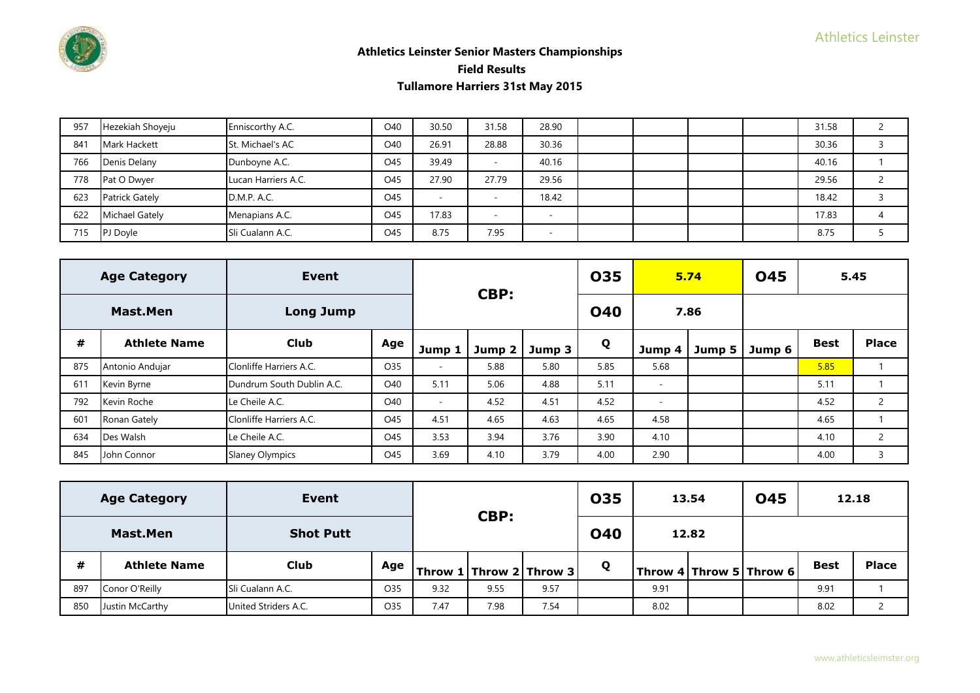

| 957 | Hezekiah Shoyeju      | Enniscorthy A.C.    | O40 | 30.50 | 31.58                    | 28.90 |  |  | 31.58 |  |
|-----|-----------------------|---------------------|-----|-------|--------------------------|-------|--|--|-------|--|
| 841 | Mark Hackett          | St. Michael's AC    | O40 | 26.91 | 28.88                    | 30.36 |  |  | 30.36 |  |
| 766 | Denis Delany          | Dunboyne A.C.       | O45 | 39.49 | $\overline{\phantom{a}}$ | 40.16 |  |  | 40.16 |  |
| 778 | Pat O Dwyer           | Lucan Harriers A.C. | O45 | 27.90 | 27.79                    | 29.56 |  |  | 29.56 |  |
| 623 | Patrick Gately        | D.M.P. A.C.         | O45 |       | $\overline{\phantom{a}}$ | 18.42 |  |  | 18.42 |  |
| 622 | <b>Michael Gately</b> | Menapians A.C.      | O45 | 17.83 | -                        |       |  |  | 17.83 |  |
| 715 | PJ Doyle              | Sli Cualann A.C.    | O45 | 8.75  | 7.95                     |       |  |  | 8.75  |  |

|     | <b>Age Category</b> | Event                     |     |        | CBP:              |        | 035        |                          | 5.74   | <b>045</b> |             | 5.45           |
|-----|---------------------|---------------------------|-----|--------|-------------------|--------|------------|--------------------------|--------|------------|-------------|----------------|
|     | <b>Mast.Men</b>     | <b>Long Jump</b>          |     |        |                   |        | <b>040</b> |                          | 7.86   |            |             |                |
| #   | <b>Athlete Name</b> | <b>Club</b>               | Age | Jump 1 | Jump <sub>2</sub> | Jump 3 | Q          | Jump 4                   | Jump 5 | Jump 6     | <b>Best</b> | <b>Place</b>   |
| 875 | Antonio Andujar     | Clonliffe Harriers A.C.   | O35 | $\sim$ | 5.88              | 5.80   | 5.85       | 5.68                     |        |            | 5.85        |                |
| 611 | Kevin Byrne         | Dundrum South Dublin A.C. | O40 | 5.11   | 5.06              | 4.88   | 5.11       | $\overline{\phantom{a}}$ |        |            | 5.11        |                |
| 792 | Kevin Roche         | Le Cheile A.C.            | O40 | $\sim$ | 4.52              | 4.51   | 4.52       | $\overline{\phantom{a}}$ |        |            | 4.52        | $\overline{2}$ |
| 601 | Ronan Gately        | Clonliffe Harriers A.C.   | O45 | 4.51   | 4.65              | 4.63   | 4.65       | 4.58                     |        |            | 4.65        |                |
| 634 | Des Walsh           | Le Cheile A.C.            | O45 | 3.53   | 3.94              | 3.76   | 3.90       | 4.10                     |        |            | 4.10        | $\overline{2}$ |
| 845 | John Connor         | <b>Slaney Olympics</b>    | O45 | 3.69   | 4.10              | 3.79   | 4.00       | 2.90                     |        |            | 4.00        | 3              |

|     | <b>Age Category</b> | Event                |      |      |                             |            | 035 |       | 13.54 | <b>045</b>              | 12.18       |              |
|-----|---------------------|----------------------|------|------|-----------------------------|------------|-----|-------|-------|-------------------------|-------------|--------------|
|     | <b>Mast.Men</b>     | <b>Shot Putt</b>     | CBP: |      |                             | <b>040</b> |     | 12.82 |       |                         |             |              |
| #   | <b>Athlete Name</b> | <b>Club</b>          | Age  |      | Throw 1   Throw 2   Throw 3 |            | Q   |       |       | Throw 4 Throw 5 Throw 6 | <b>Best</b> | <b>Place</b> |
| 897 | Conor O'Reilly      | Sli Cualann A.C.     | O35  | 9.32 | 9.55                        | 9.57       |     | 9.91  |       |                         | 9.91        |              |
| 850 | Justin McCarthy     | United Striders A.C. | O35  | 7.47 | 7.98                        | 7.54       |     | 8.02  |       |                         | 8.02        |              |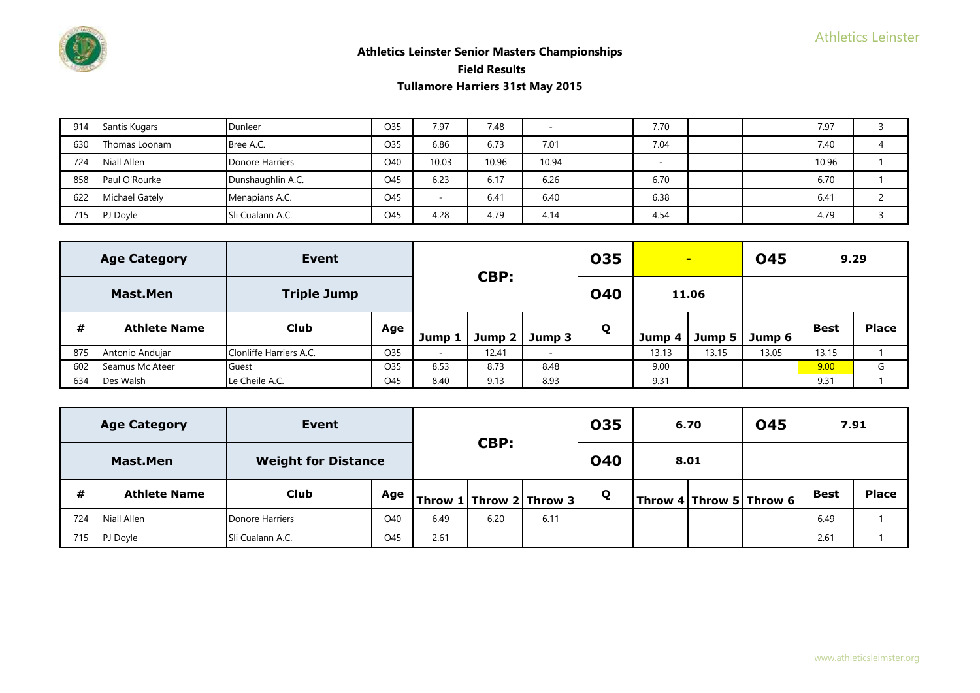

| 914 | Santis Kugars  | Dunleer           | O35 | 7.97                     | 7.48  |       | 7.70 |  | 7.97  |  |
|-----|----------------|-------------------|-----|--------------------------|-------|-------|------|--|-------|--|
| 630 | Thomas Loonam  | Bree A.C.         | O35 | 6.86                     | 6.73  | 7.01  | 7.04 |  | 7.40  |  |
| 724 | Niall Allen    | Donore Harriers   | O40 | 10.03                    | 10.96 | 10.94 |      |  | 10.96 |  |
| 858 | Paul O'Rourke  | Dunshaughlin A.C. | O45 | 6.23                     | 6.17  | 6.26  | 6.70 |  | 6.70  |  |
| 622 | Michael Gately | Menapians A.C.    | O45 | $\overline{\phantom{a}}$ | 6.41  | 6.40  | 6.38 |  | 6.41  |  |
| 715 | PJ Doyle       | Sli Cualann A.C.  | O45 | 4.28                     | 4.79  | 4.14  | 4.54 |  | 4.79  |  |

|     | <b>Age Category</b> | Event                   |     |        | CBP:             |                          | <b>035</b> |        | $\blacksquare$ | <b>045</b> |             | 9.29         |
|-----|---------------------|-------------------------|-----|--------|------------------|--------------------------|------------|--------|----------------|------------|-------------|--------------|
|     | Mast.Men            | <b>Triple Jump</b>      |     |        |                  |                          | <b>040</b> |        | 11.06          |            |             |              |
| #   | <b>Athlete Name</b> | <b>Club</b>             | Age | Jump   | Jump 2<br>Jump 3 |                          | Q          | Jump 4 | Jump 5         | Jump 6     | <b>Best</b> | <b>Place</b> |
| 875 | Antonio Andujar     | Clonliffe Harriers A.C. | O35 | $\sim$ | 12.41            | $\overline{\phantom{a}}$ |            | 13.13  | 13.15          | 13.05      | 13.15       |              |
| 602 | Seamus Mc Ateer     | Guest                   | O35 | 8.53   | 8.73             | 8.48                     |            | 9.00   |                |            | 9.00        | G            |
| 634 | Des Walsh           | Le Cheile A.C.          | O45 | 8.40   | 9.13             | 8.93                     |            | 9.31   |                |            | 9.31        |              |

|     | <b>Age Category</b> | Event                      |     |      |                         |      | <b>035</b> | 6.70 | <b>045</b>                                          | 7.91        |              |
|-----|---------------------|----------------------------|-----|------|-------------------------|------|------------|------|-----------------------------------------------------|-------------|--------------|
|     | <b>Mast.Men</b>     | <b>Weight for Distance</b> |     |      | CBP:                    |      | <b>040</b> | 8.01 |                                                     |             |              |
| #   | <b>Athlete Name</b> | Club                       | Age |      | Throw 1 Throw 2 Throw 3 |      | Q          |      | $\mid$ Throw 4 $\mid$ Throw 5 $\mid$ Throw 6 $\mid$ | <b>Best</b> | <b>Place</b> |
| 724 | Niall Allen         | <b>Donore Harriers</b>     | O40 | 6.49 | 6.20                    | 6.11 |            |      |                                                     | 6.49        |              |
| 715 | PJ Doyle            | Sli Cualann A.C.           | O45 | 2.61 |                         |      |            |      |                                                     | 2.61        |              |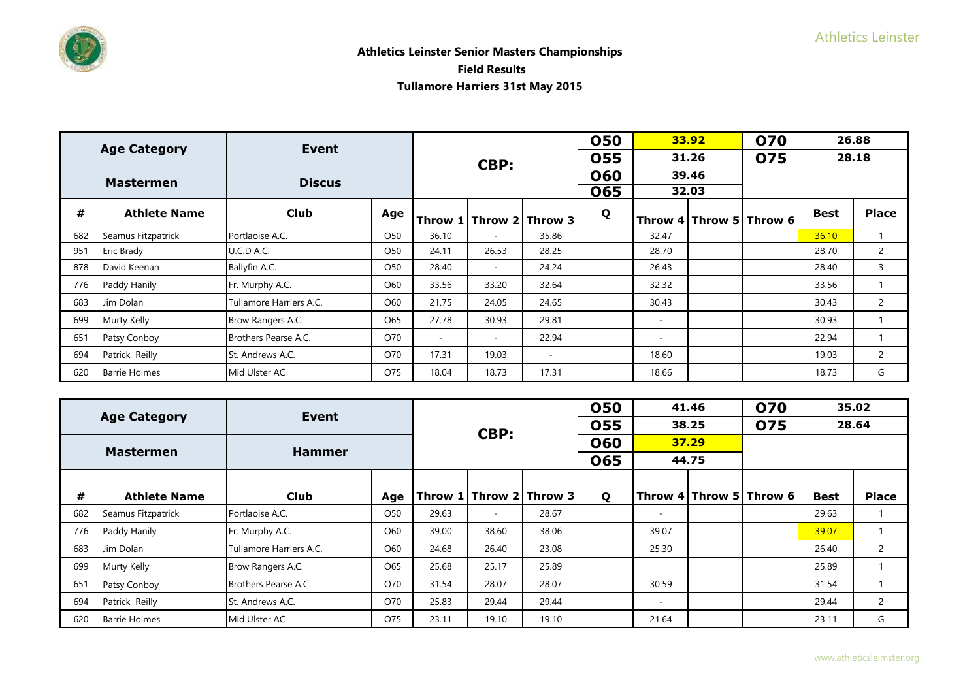|     | <b>Age Category</b>  | Event                   |     |        |                          |                             | <b>050</b> |                          | 33.92 | 070                     |             | 26.88          |
|-----|----------------------|-------------------------|-----|--------|--------------------------|-----------------------------|------------|--------------------------|-------|-------------------------|-------------|----------------|
|     |                      |                         |     |        | CBP:                     |                             | <b>055</b> |                          | 31.26 | 075                     |             | 28.18          |
|     | <b>Mastermen</b>     | <b>Discus</b>           |     |        |                          |                             | <b>060</b> |                          | 39.46 |                         |             |                |
|     |                      |                         |     |        |                          |                             | <b>065</b> |                          | 32.03 |                         |             |                |
| #   | <b>Athlete Name</b>  | <b>Club</b>             | Age |        |                          | Throw 1   Throw 2   Throw 3 | Q          |                          |       | Throw 4 Throw 5 Throw 6 | <b>Best</b> | <b>Place</b>   |
| 682 | Seamus Fitzpatrick   | Portlaoise A.C.         | O50 | 36.10  | $\overline{\phantom{a}}$ | 35.86                       |            | 32.47                    |       |                         | 36.10       |                |
| 951 | Eric Brady           | U.C.D A.C.              | O50 | 24.11  | 26.53                    | 28.25                       |            | 28.70                    |       |                         | 28.70       | 2              |
| 878 | David Keenan         | Ballyfin A.C.           | O50 | 28.40  | $\overline{\phantom{a}}$ | 24.24                       |            | 26.43                    |       |                         | 28.40       | 3              |
| 776 | Paddy Hanily         | Fr. Murphy A.C.         | O60 | 33.56  | 33.20                    | 32.64                       |            | 32.32                    |       |                         | 33.56       |                |
| 683 | Jim Dolan            | Tullamore Harriers A.C. | O60 | 21.75  | 24.05                    | 24.65                       |            | 30.43                    |       |                         | 30.43       | $\overline{2}$ |
| 699 | <b>Murty Kelly</b>   | Brow Rangers A.C.       | O65 | 27.78  | 30.93                    | 29.81                       |            | $\overline{\phantom{a}}$ |       |                         | 30.93       |                |
| 651 | Patsy Conboy         | Brothers Pearse A.C.    | O70 | $\sim$ | $\overline{\phantom{a}}$ | 22.94                       |            | $\overline{\phantom{a}}$ |       |                         | 22.94       |                |
| 694 | Patrick Reilly       | St. Andrews A.C.        | O70 | 17.31  | 19.03                    | $\sim$                      |            | 18.60                    |       |                         | 19.03       | $\overline{2}$ |
| 620 | <b>Barrie Holmes</b> | Mid Ulster AC           | O75 | 18.04  | 18.73                    | 17.31                       |            | 18.66                    |       |                         | 18.73       | G              |

|     | <b>Age Category</b>  | Event                   |                 |       |                          |                             | <b>050</b> |                          | 41.46                   | <b>070</b> | 35.02       |                |
|-----|----------------------|-------------------------|-----------------|-------|--------------------------|-----------------------------|------------|--------------------------|-------------------------|------------|-------------|----------------|
|     |                      |                         |                 |       | CBP:                     |                             | <b>055</b> |                          | 38.25                   | <b>075</b> | 28.64       |                |
|     | <b>Mastermen</b>     | <b>Hammer</b>           |                 |       |                          |                             | <b>060</b> |                          | 37.29                   |            |             |                |
|     |                      |                         |                 |       |                          |                             | 065        | 44.75                    |                         |            |             |                |
|     |                      |                         |                 |       |                          |                             |            |                          |                         |            |             |                |
| #   | <b>Athlete Name</b>  | <b>Club</b>             | Age             |       |                          | Throw 1   Throw 2   Throw 3 | Q          |                          | Throw 4 Throw 5 Throw 6 |            | <b>Best</b> | <b>Place</b>   |
| 682 | Seamus Fitzpatrick   | Portlaoise A.C.         | O <sub>50</sub> | 29.63 | $\overline{\phantom{a}}$ | 28.67                       |            | $\overline{\phantom{a}}$ |                         |            | 29.63       |                |
| 776 | Paddy Hanily         | Fr. Murphy A.C.         | O60             | 39.00 | 38.60                    | 38.06                       |            | 39.07                    |                         |            | 39.07       |                |
| 683 | Jim Dolan            | Tullamore Harriers A.C. | O60             | 24.68 | 26.40                    | 23.08                       |            | 25.30                    |                         |            | 26.40       | $\overline{2}$ |
| 699 | Murty Kelly          | Brow Rangers A.C.       | O65             | 25.68 | 25.17                    | 25.89                       |            |                          |                         |            | 25.89       |                |
| 651 | Patsy Conboy         | Brothers Pearse A.C.    | O70             | 31.54 | 28.07                    | 28.07                       |            | 30.59                    |                         |            | 31.54       |                |
| 694 | Patrick Reilly       | St. Andrews A.C.        | O70             | 25.83 | 29.44                    | 29.44                       |            | ۰                        |                         |            | 29.44       | $\overline{2}$ |
| 620 | <b>Barrie Holmes</b> | Mid Ulster AC           | O75<br>23.11    |       |                          | 19.10                       |            | 21.64                    |                         |            | 23.11       | G              |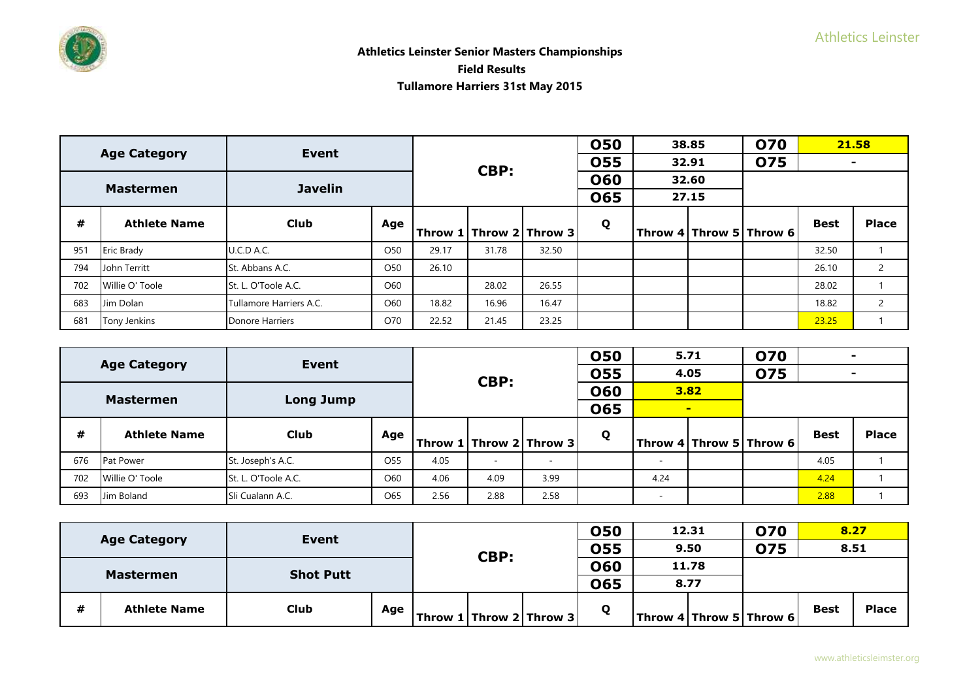

|     | <b>Age Category</b> | Event                   |                 |       |       |                             | <b>050</b> | 38.85 | <b>070</b>                  |             | 21.58                    |
|-----|---------------------|-------------------------|-----------------|-------|-------|-----------------------------|------------|-------|-----------------------------|-------------|--------------------------|
|     |                     |                         |                 |       | CBP:  |                             | <b>055</b> | 32.91 | <b>075</b>                  |             | $\overline{\phantom{0}}$ |
|     | <b>Mastermen</b>    | <b>Javelin</b>          |                 |       |       |                             | <b>060</b> | 32.60 |                             |             |                          |
|     |                     |                         |                 |       |       |                             | <b>065</b> | 27.15 |                             |             |                          |
| #   | <b>Athlete Name</b> | Club                    | Age             |       |       | Throw 1   Throw 2   Throw 3 | Q          |       | Throw 4   Throw 5   Throw 6 | <b>Best</b> | <b>Place</b>             |
| 951 | <b>Eric Brady</b>   | U.C.D A.C.              | O <sub>50</sub> | 29.17 | 31.78 | 32.50                       |            |       |                             | 32.50       |                          |
| 794 | John Territt        | St. Abbans A.C.         | O <sub>50</sub> | 26.10 |       |                             |            |       |                             | 26.10       | 2                        |
| 702 | Willie O' Toole     | St. L. O'Toole A.C.     | O60             |       | 28.02 | 26.55                       |            |       |                             | 28.02       |                          |
| 683 | Jim Dolan           | Tullamore Harriers A.C. | O60             | 18.82 | 16.96 | 16.47                       |            |       |                             | 18.82       | $\overline{2}$           |
| 681 | <b>Tony Jenkins</b> | Donore Harriers         | O70             | 22.52 | 21.45 | 23.25                       |            |       |                             | 23.25       |                          |

|     | <b>Age Category</b> | Event               |                 |      |        |                             | <b>050</b> | 5.71 |                | <b>O70</b>                | $\sim$      |              |
|-----|---------------------|---------------------|-----------------|------|--------|-----------------------------|------------|------|----------------|---------------------------|-------------|--------------|
|     |                     |                     |                 |      | CBP:   |                             | 055        | 4.05 |                | <b>075</b>                |             |              |
|     |                     |                     |                 |      |        |                             | <b>060</b> |      | 3.82           |                           |             |              |
|     | <b>Mastermen</b>    | <b>Long Jump</b>    |                 |      |        |                             | 065        |      | $\blacksquare$ |                           |             |              |
| #   | <b>Athlete Name</b> | <b>Club</b>         | Age             |      |        | Throw 1   Throw 2   Throw 3 | Q          |      |                | Throw $4$ Throw 5 Throw 6 | <b>Best</b> | <b>Place</b> |
| 676 | <b>Pat Power</b>    | St. Joseph's A.C.   | O <sub>55</sub> | 4.05 | $\sim$ |                             |            |      |                |                           | 4.05        |              |
| 702 | Willie O' Toole     | St. L. O'Toole A.C. | O60             | 4.06 | 4.09   | 3.99                        |            | 4.24 |                |                           | 4.24        |              |
| 693 | Jim Boland          | Sli Cualann A.C.    | O65             | 2.56 | 2.88   | 2.58                        |            |      |                |                           | 2.88        |              |

|   |                     | Event            |     |      |                           | 050          | 12.31 | <b>070</b>                                                      | 8.27        |              |
|---|---------------------|------------------|-----|------|---------------------------|--------------|-------|-----------------------------------------------------------------|-------------|--------------|
|   | <b>Age Category</b> |                  |     | CBP: |                           | 055          | 9.50  | <b>075</b>                                                      | 8.51        |              |
|   | <b>Mastermen</b>    | <b>Shot Putt</b> |     |      |                           | 060          | 11.78 |                                                                 |             |              |
|   |                     |                  |     |      |                           | 065          | 8.77  |                                                                 |             |              |
| # | <b>Athlete Name</b> | <b>Club</b>      | Age |      | Throw $1$ Throw 2 Throw 3 | $\mathbf{o}$ |       | $\textsf{Throw 4} \textsf{Throw 5} \textsf{Throw 6} \textsf{C}$ | <b>Best</b> | <b>Place</b> |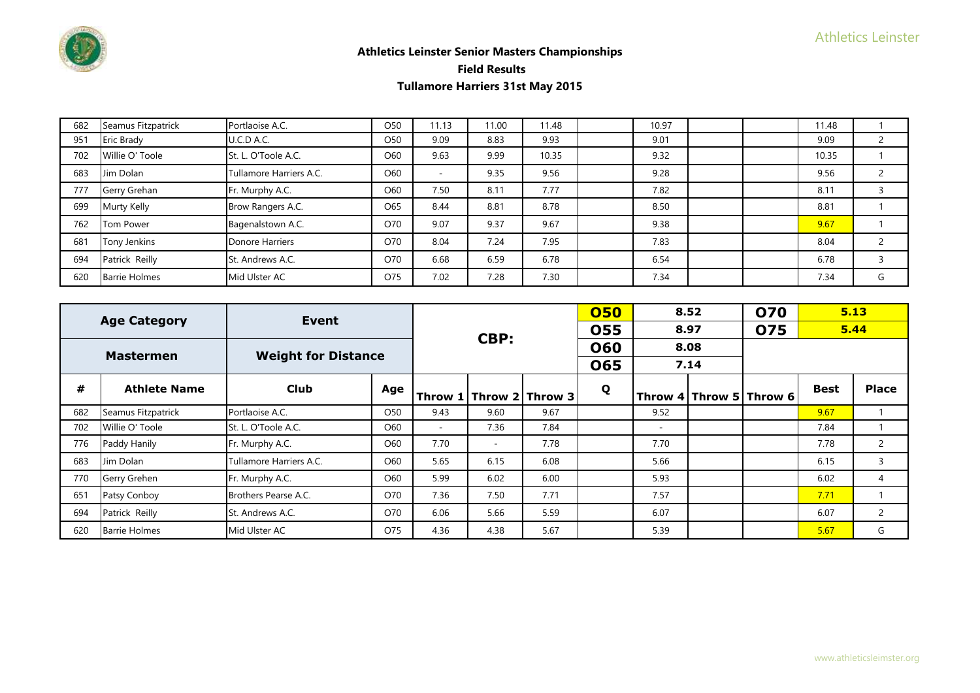

| 682 | Seamus Fitzpatrick   | Portlaoise A.C.         | O <sub>50</sub> | 11.13                    | 11.00 | 11.48 | 10.97 |  | 11.48 |   |
|-----|----------------------|-------------------------|-----------------|--------------------------|-------|-------|-------|--|-------|---|
| 951 | <b>Eric Brady</b>    | U.C.D A.C.              | O <sub>50</sub> | 9.09                     | 8.83  | 9.93  | 9.01  |  | 9.09  |   |
| 702 | Willie O' Toole      | St. L. O'Toole A.C.     | O60             | 9.63                     | 9.99  | 10.35 | 9.32  |  | 10.35 |   |
| 683 | Jim Dolan            | Tullamore Harriers A.C. | O60             | $\overline{\phantom{a}}$ | 9.35  | 9.56  | 9.28  |  | 9.56  |   |
| 777 | Gerry Grehan         | Fr. Murphy A.C.         | O60             | 7.50                     | 8.11  | 7.77  | 7.82  |  | 8.11  |   |
| 699 | Murty Kelly          | Brow Rangers A.C.       | O65             | 8.44                     | 8.81  | 8.78  | 8.50  |  | 8.81  |   |
| 762 | Tom Power            | Bagenalstown A.C.       | O70             | 9.07                     | 9.37  | 9.67  | 9.38  |  | 9.67  |   |
| 681 | Tony Jenkins         | Donore Harriers         | O70             | 8.04                     | 7.24  | 7.95  | 7.83  |  | 8.04  |   |
| 694 | Patrick Reilly       | St. Andrews A.C.        | O70             | 6.68                     | 6.59  | 6.78  | 6.54  |  | 6.78  |   |
| 620 | <b>Barrie Holmes</b> | Mid Ulster AC           | O75             | 7.02                     | 7.28  | 7.30  | 7.34  |  | 7.34  | G |

|     | <b>Age Category</b>  | Event                      |     |           |                          |                 | 050        |                          | 8.52 | <b>O70</b>              | 5.13        |              |
|-----|----------------------|----------------------------|-----|-----------|--------------------------|-----------------|------------|--------------------------|------|-------------------------|-------------|--------------|
|     |                      |                            |     |           | CBP:                     |                 | <b>055</b> |                          | 8.97 | 075                     | 5.44        |              |
|     | <b>Mastermen</b>     | <b>Weight for Distance</b> |     |           |                          |                 | <b>060</b> |                          | 8.08 |                         |             |              |
|     |                      |                            |     |           |                          |                 | <b>065</b> |                          | 7.14 |                         |             |              |
| #   | <b>Athlete Name</b>  | <b>Club</b>                | Age | Throw $1$ |                          | Throw 2 Throw 3 | Q          |                          |      | Throw 4 Throw 5 Throw 6 | <b>Best</b> | <b>Place</b> |
| 682 | Seamus Fitzpatrick   | Portlaoise A.C.            | O50 | 9.43      | 9.60                     | 9.67            |            | 9.52                     |      |                         | 9.67        |              |
| 702 | Willie O' Toole      | St. L. O'Toole A.C.        | O60 | ۰         | 7.36                     | 7.84            |            | $\overline{\phantom{a}}$ |      |                         | 7.84        |              |
| 776 | Paddy Hanily         | Fr. Murphy A.C.            | O60 | 7.70      | $\overline{\phantom{a}}$ | 7.78            |            | 7.70                     |      |                         | 7.78        | 2            |
| 683 | Jim Dolan            | Tullamore Harriers A.C.    | O60 | 5.65      | 6.15                     | 6.08            |            | 5.66                     |      |                         | 6.15        | 3            |
| 770 | Gerry Grehen         | Fr. Murphy A.C.            | O60 | 5.99      | 6.02                     | 6.00            |            | 5.93                     |      |                         | 6.02        | 4            |
| 651 | Patsy Conboy         | Brothers Pearse A.C.       | O70 | 7.36      | 7.50                     | 7.71            |            | 7.57                     |      |                         | 7.71        |              |
| 694 | Patrick Reilly       | St. Andrews A.C.           | O70 | 6.06      | 5.66                     | 5.59            |            | 6.07                     |      |                         | 6.07        | $\mathbf{2}$ |
| 620 | <b>Barrie Holmes</b> | Mid Ulster AC              | O75 | 4.36      | 4.38                     | 5.67            |            | 5.39                     |      |                         | 5.67        | G            |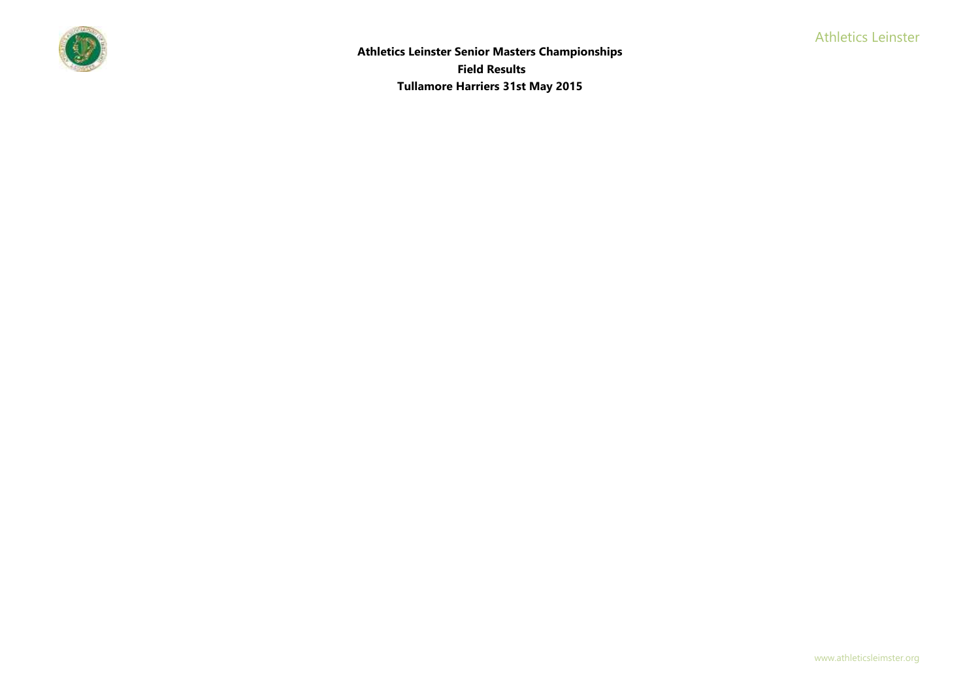

**Athletics Leinster Senior Masters Championships Field Results Tullamore Harriers 31st May 2015**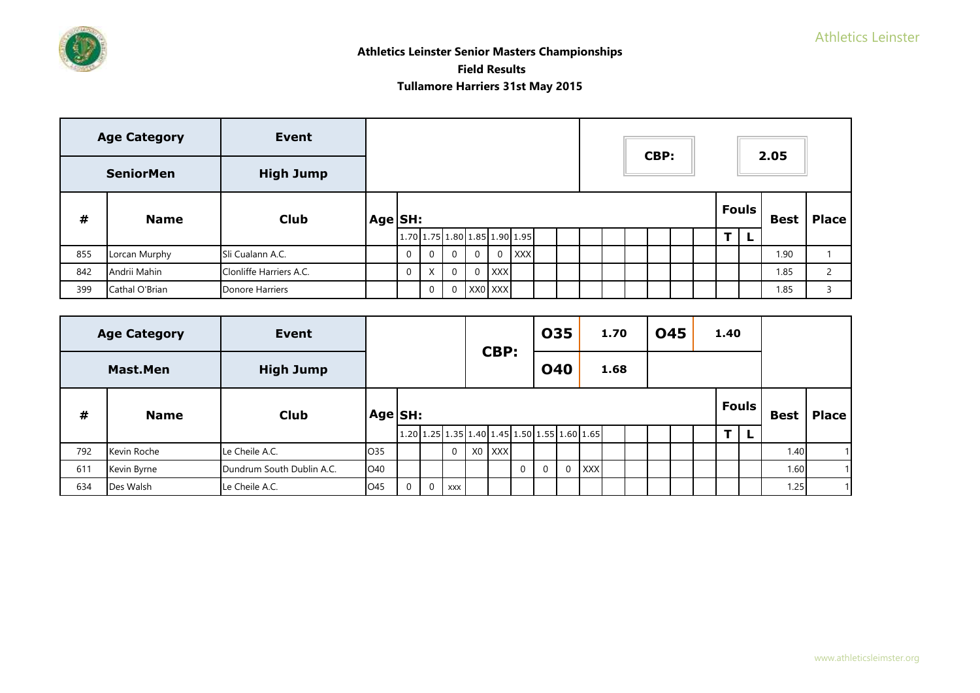

|     | <b>Age Category</b> | <b>Event</b>            |         |              |             |                |                |          |                               |  |  | CBP: |  |              | 2.05        |                          |
|-----|---------------------|-------------------------|---------|--------------|-------------|----------------|----------------|----------|-------------------------------|--|--|------|--|--------------|-------------|--------------------------|
|     | <b>SeniorMen</b>    | <b>High Jump</b>        |         |              |             |                |                |          |                               |  |  |      |  |              |             |                          |
| #   | <b>Name</b>         | <b>Club</b>             | Age SH: |              |             |                |                |          |                               |  |  |      |  | <b>Fouls</b> | <b>Best</b> | <b>Place</b>             |
|     |                     |                         |         |              |             |                |                |          | 1.70 1.75 1.80 1.85 1.90 1.95 |  |  |      |  |              |             |                          |
| 855 | Lorcan Murphy       | Sli Cualann A.C.        |         | $\mathbf 0$  | $\mathbf 0$ | $\Omega$       | $\Omega$       | $\Omega$ | <b>XXX</b>                    |  |  |      |  |              | 1.90        |                          |
| 842 | Andrii Mahin        | Clonliffe Harriers A.C. |         | $\mathbf{0}$ | X.          | $\overline{0}$ | $\overline{0}$ | $ $ XXX  |                               |  |  |      |  |              | 1.85        | $\overline{\phantom{0}}$ |
| 399 | Cathal O'Brian      | Donore Harriers         |         |              | 0           | $\overline{0}$ | XX0 XXX        |          |                               |  |  |      |  |              | 1.85        | 3                        |

|     | <b>Age Category</b> | Event                     |                 |          |          |              |                                                                                             | CBP:                          |             |            | 035 |       | 1.70 | <b>045</b> |  | 1.40 |              |             |              |
|-----|---------------------|---------------------------|-----------------|----------|----------|--------------|---------------------------------------------------------------------------------------------|-------------------------------|-------------|------------|-----|-------|------|------------|--|------|--------------|-------------|--------------|
|     | Mast.Men            | <b>High Jump</b>          |                 |          |          |              |                                                                                             |                               |             | <b>040</b> |     |       | 1.68 |            |  |      |              |             |              |
| #   | <b>Name</b>         | <b>Club</b>               | Age SH:         |          |          |              |                                                                                             |                               |             |            |     |       |      |            |  |      | <b>Fouls</b> | <b>Best</b> | <b>Place</b> |
|     |                     |                           |                 |          |          |              | $1.20 \mid 1.25 \mid 1.35 \mid 1.40 \mid 1.45 \mid 1.50 \mid 1.55 \mid 1.60 \mid 1.65 \mid$ |                               |             |            |     |       |      |            |  |      |              |             |              |
| 792 | Kevin Roche         | Le Cheile A.C.            | O <sub>35</sub> |          |          | $\mathbf{0}$ |                                                                                             | X <sub>0</sub> X <sub>X</sub> |             |            |     |       |      |            |  |      |              | 1.40        |              |
| 611 | Kevin Byrne         | Dundrum South Dublin A.C. | O40             |          |          |              |                                                                                             |                               | $\mathbf 0$ |            |     | 0 XXX |      |            |  |      |              | 1.60        |              |
| 634 | Des Walsh           | Le Cheile A.C.            | O <sub>45</sub> | $\Omega$ | $\Omega$ | <b>XXX</b>   |                                                                                             |                               |             |            |     |       |      |            |  |      |              | 1.25        |              |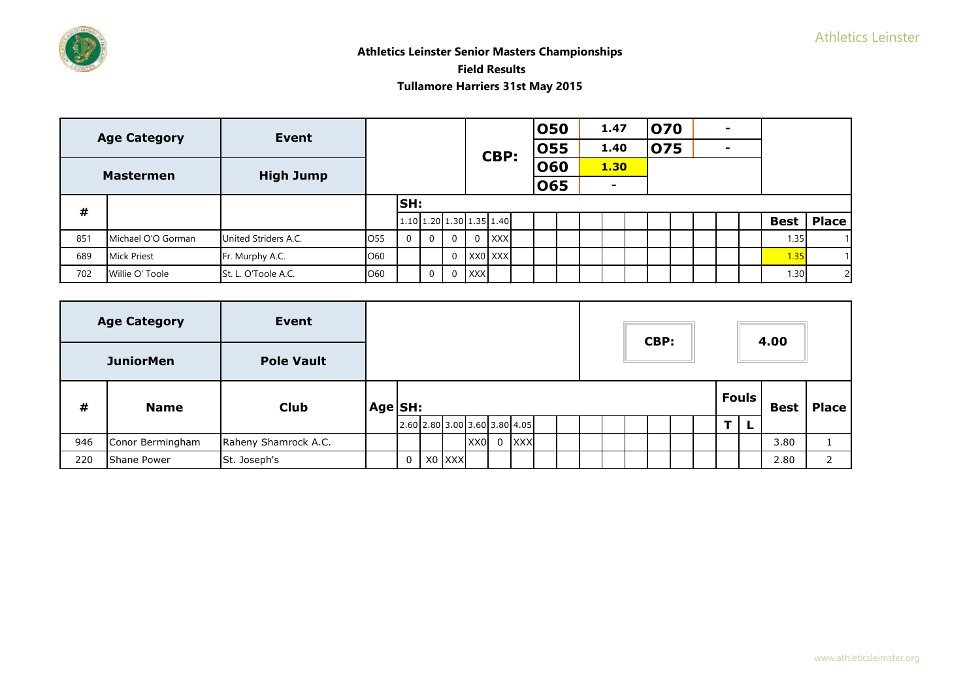

|      | <b>Age Category</b> | <b>Event</b>         |                 |            |          |                |                            |            | 050 |  | 1.47           | 070 |  | - |             |              |
|------|---------------------|----------------------|-----------------|------------|----------|----------------|----------------------------|------------|-----|--|----------------|-----|--|---|-------------|--------------|
|      |                     |                      |                 |            |          |                |                            | CBP:       | 055 |  | 1.40           | 075 |  | - |             |              |
|      | <b>Mastermen</b>    |                      |                 |            |          |                |                            |            | 060 |  | <b>1.30</b>    |     |  |   |             |              |
|      |                     | <b>High Jump</b>     |                 |            |          |                |                            |            | 065 |  | $\blacksquare$ |     |  |   |             |              |
| $\#$ |                     |                      |                 | <b>SH:</b> |          |                |                            |            |     |  |                |     |  |   |             |              |
|      |                     |                      |                 |            |          |                | $1.10$ 1.20 1.30 1.35 1.40 |            |     |  |                |     |  |   | <b>Best</b> | <b>Place</b> |
| 851  | Michael O'O Gorman  | United Striders A.C. | O <sub>55</sub> | $\Omega$   | $\Omega$ | $\Omega$       | $\Omega$                   | <b>XXX</b> |     |  |                |     |  |   | 1.35        |              |
| 689  | <b>Mick Priest</b>  | Fr. Murphy A.C.      | O60             |            |          | $\overline{0}$ |                            | XX0 XXX    |     |  |                |     |  |   | 1.35        |              |
| 702  | Willie O' Toole     | St. L. O'Toole A.C.  | O60             |            | $\Omega$ | $\mathbf{0}$   | <b>XXX</b>                 |            |     |  |                |     |  |   | 1.30        | 2            |

|     | <b>Age Category</b> | <b>Event</b>         |         |   |        |                                           |                |            |  |  | CBP: |  |              | 4.00        |              |
|-----|---------------------|----------------------|---------|---|--------|-------------------------------------------|----------------|------------|--|--|------|--|--------------|-------------|--------------|
|     | <b>JuniorMen</b>    | <b>Pole Vault</b>    |         |   |        |                                           |                |            |  |  |      |  |              |             |              |
| #   | <b>Name</b>         | <b>Club</b>          | Age SH: |   |        |                                           |                |            |  |  |      |  | <b>Fouls</b> | <b>Best</b> | <b>Place</b> |
|     |                     |                      |         |   |        | $2.60$ $2.80$ $3.00$ $3.60$ $3.80$ $4.05$ |                |            |  |  |      |  |              |             |              |
| 946 | Conor Bermingham    | Raheny Shamrock A.C. |         |   |        | XX0                                       | $\overline{0}$ | <b>XXX</b> |  |  |      |  |              | 3.80        |              |
| 220 | Shane Power         | St. Joseph's         |         | 0 | X0 XXX |                                           |                |            |  |  |      |  |              | 2.80        |              |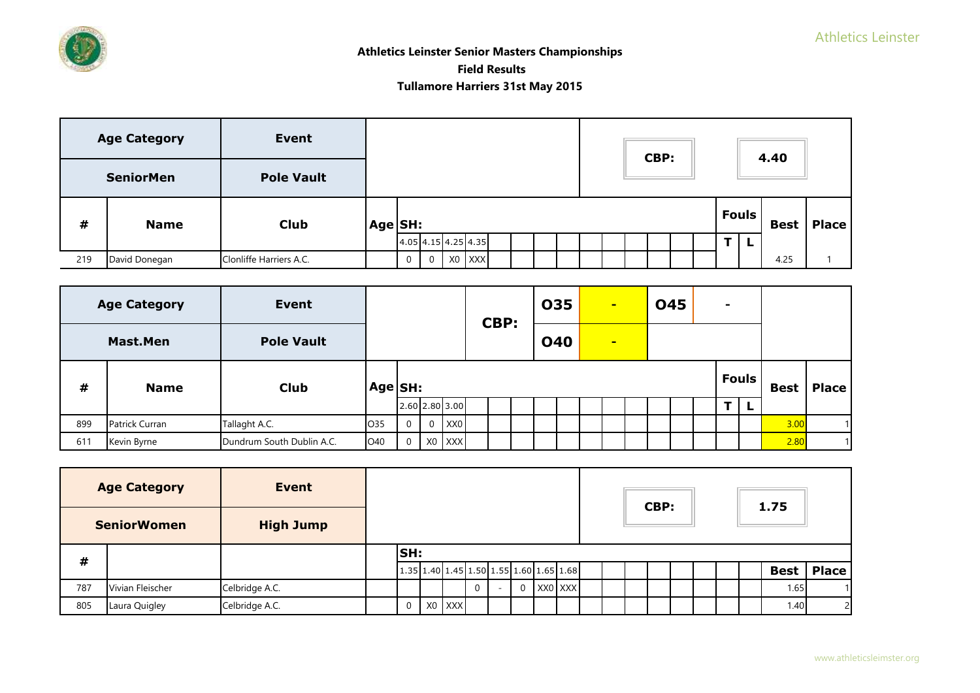

|     | <b>Age Category</b> | <b>Event</b>            |         |   |             |                       |  |  |  | CBP: |  |              | 4.40        |              |
|-----|---------------------|-------------------------|---------|---|-------------|-----------------------|--|--|--|------|--|--------------|-------------|--------------|
|     | <b>SeniorMen</b>    | <b>Pole Vault</b>       |         |   |             |                       |  |  |  |      |  |              |             |              |
| #   | <b>Name</b>         | <b>Club</b>             | Age SH: |   |             |                       |  |  |  |      |  | <b>Fouls</b> | <b>Best</b> | <b>Place</b> |
|     |                     |                         |         |   |             | $4.05$ 4.15 4.25 4.35 |  |  |  |      |  |              |             |              |
| 219 | David Donegan       | Clonliffe Harriers A.C. |         | 0 | $\mathbf 0$ | X0 XXX                |  |  |  |      |  |              | 4.25        |              |

| <b>Age Category</b> |                 | <b>Event</b>              |         |                |                |                 | CBP: |            | 035            |  | $\blacksquare$ |  | <b>045</b> |  |  | - |              |             |              |
|---------------------|-----------------|---------------------------|---------|----------------|----------------|-----------------|------|------------|----------------|--|----------------|--|------------|--|--|---|--------------|-------------|--------------|
|                     | <b>Mast.Men</b> | <b>Pole Vault</b>         |         |                |                |                 |      | <b>040</b> | $\blacksquare$ |  |                |  |            |  |  |   |              |             |              |
| #                   | <b>Name</b>     | <b>Club</b>               | Age SH: |                |                |                 |      |            |                |  |                |  |            |  |  |   | <b>Fouls</b> | <b>Best</b> | <b>Place</b> |
|                     |                 |                           |         |                |                | 2.60 2.80 3.00  |      |            |                |  |                |  |            |  |  | Ŧ | L            |             |              |
| 899                 | Patrick Curran  | Tallaght A.C.             | O35     | $\overline{0}$ | $\overline{0}$ | XX <sub>0</sub> |      |            |                |  |                |  |            |  |  |   |              | 3.00        | 1            |
| 611                 | Kevin Byrne     | Dundrum South Dublin A.C. | O40     | $\Omega$       |                | X0 XXX          |      |            |                |  |                |  |            |  |  |   |              | 2.80        | 11           |

|     | <b>Age Category</b><br><b>SeniorWomen</b> | <b>Event</b><br><b>High Jump</b> |                |        |  |                                           |         |  | CBP: |  |  | 1.75        |                |
|-----|-------------------------------------------|----------------------------------|----------------|--------|--|-------------------------------------------|---------|--|------|--|--|-------------|----------------|
| #   |                                           |                                  | <b>SH:</b>     |        |  |                                           |         |  |      |  |  |             |                |
|     |                                           |                                  |                |        |  | $1.35 1.40 1.45 1.50 1.55 1.60 1.65 1.68$ |         |  |      |  |  | <b>Best</b> | Place          |
| 787 | Vivian Fleischer                          | Celbridge A.C.                   |                |        |  |                                           | XX0 XXX |  |      |  |  | 1.65        |                |
| 805 | Laura Quigley                             | Celbridge A.C.                   | $\overline{0}$ | X0 XXX |  |                                           |         |  |      |  |  | 1.40        | $\overline{2}$ |